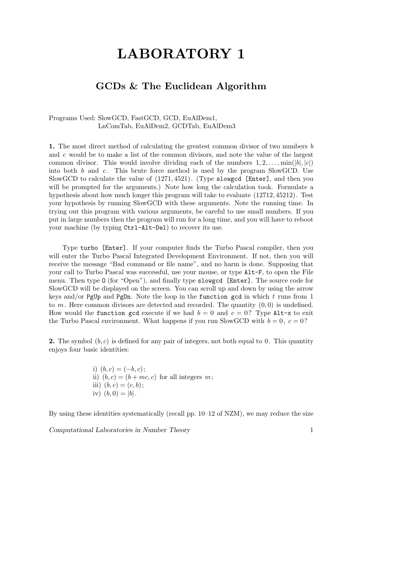# LABORATORY 1

### GCDs & The Euclidean Algorithm

#### Programs Used: SlowGCD, FastGCD, GCD, EuAlDem1, LnComTab, EuAlDem2, GCDTab, EuAlDem3

1. The most direct method of calculating the greatest common divisor of two numbers b and c would be to make a list of the common divisors, and note the value of the largest common divisor. This would involve dividing each of the numbers  $1, 2, \ldots, \min(|b|, |c|)$ into both  $b$  and  $c$ . This brute force method is used by the program SlowGCD. Use SlowGCD to calculate the value of (1271, 4521). (Type slowgcd [Enter], and then you will be prompted for the arguments.) Note how long the calculation took. Formulate a hypothesis about how much longer this program will take to evaluate (12712, 45212). Test your hypothesis by running SlowGCD with these arguments. Note the running time. In trying out this program with various arguments, be careful to use small numbers. If you put in large numbers then the program will run for a long time, and you will have to reboot your machine (by typing Ctrl-Alt-Del) to recover its use.

Type turbo [Enter]. If your computer finds the Turbo Pascal compiler, then you will enter the Turbo Pascal Integrated Development Environment. If not, then you will receive the message "Bad command or file name", and no harm is done. Supposing that your call to Turbo Pascal was successful, use your mouse, or type Alt-F, to open the File menu. Then type O (for "Open"), and finally type slowgcd [Enter]. The source code for SlowGCD will be displayed on the screen. You can scroll up and down by using the arrow keys and/or PgUp and PgDn. Note the loop in the function gcd in which  $t$  runs from 1 to m. Here common divisors are detected and recorded. The quantity  $(0, 0)$  is undefined. How would the function gcd execute if we had  $b = 0$  and  $c = 0$ ? Type Alt-x to exit the Turbo Pascal environment. What happens if you run SlowGCD with  $b = 0, c = 0$ ?

**2.** The symbol  $(b, c)$  is defined for any pair of integers, not both equal to 0. This quantity enjoys four basic identities:

> i)  $(b, c) = (-b, c);$ ii)  $(b, c) = (b + mc, c)$  for all integers m; iii)  $(b, c) = (c, b)$ ; iv)  $(b, 0) = |b|$ .

By using these identities systematically (recall pp. 10–12 of NZM), we may reduce the size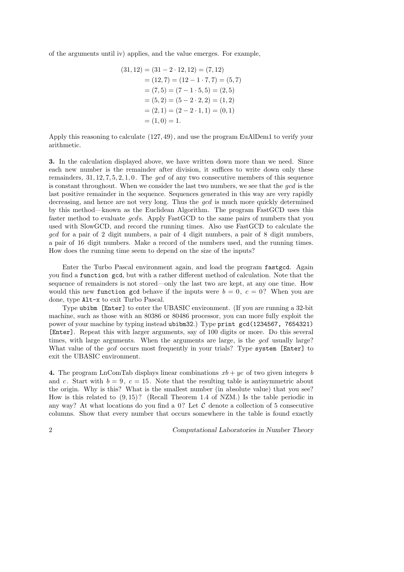of the arguments until iv) applies, and the value emerges. For example,

$$
(31, 12) = (31 - 2 \cdot 12, 12) = (7, 12)
$$
  
= (12, 7) = (12 - 1 \cdot 7, 7) = (5, 7)  
= (7, 5) = (7 - 1 \cdot 5, 5) = (2, 5)  
= (5, 2) = (5 - 2 \cdot 2, 2) = (1, 2)  
= (2, 1) = (2 - 2 \cdot 1, 1) = (0, 1)  
= (1, 0) = 1.

Apply this reasoning to calculate (127, 49), and use the program EuAlDem1 to verify your arithmetic.

3. In the calculation displayed above, we have written down more than we need. Since each new number is the remainder after division, it suffices to write down only these remainders,  $31, 12, 7, 5, 2, 1, 0$ . The gcd of any two consecutive members of this sequence is constant throughout. When we consider the last two numbers, we see that the gcd is the last positive remainder in the sequence. Sequences generated in this way are very rapidly decreasing, and hence are not very long. Thus the gcd is much more quickly determined by this method—known as the Euclidean Algorithm. The program FastGCD uses this faster method to evaluate gcds. Apply FastGCD to the same pairs of numbers that you used with SlowGCD, and record the running times. Also use FastGCD to calculate the gcd for a pair of 2 digit numbers, a pair of 4 digit numbers, a pair of 8 digit numbers, a pair of 16 digit numbers. Make a record of the numbers used, and the running times. How does the running time seem to depend on the size of the inputs?

Enter the Turbo Pascal environment again, and load the program fastgcd. Again you find a function gcd, but with a rather different method of calculation. Note that the sequence of remainders is not stored—only the last two are kept, at any one time. How would this new function gcd behave if the inputs were  $b = 0, c = 0$ ? When you are done, type Alt-x to exit Turbo Pascal.

Type ubibm [Enter] to enter the UBASIC environment. (If you are running a 32-bit machine, such as those with an 80386 or 80486 processor, you can more fully exploit the power of your machine by typing instead ubibm32.) Type print gcd(1234567, 7654321) [Enter]. Repeat this with larger arguments, say of 100 digits or more. Do this several times, with large arguments. When the arguments are large, is the gcd usually large? What value of the gcd occurs most frequently in your trials? Type system [Enter] to exit the UBASIC environment.

4. The program LnComTab displays linear combinations  $xb + yc$  of two given integers b and c. Start with  $b = 9$ ,  $c = 15$ . Note that the resulting table is antisymmetric about the origin. Why is this? What is the smallest number (in absolute value) that you see? How is this related to  $(9, 15)$ ? (Recall Theorem 1.4 of NZM.) Is the table periodic in any way? At what locations do you find a  $0$ ? Let  $\mathcal C$  denote a collection of 5 consecutive columns. Show that every number that occurs somewhere in the table is found exactly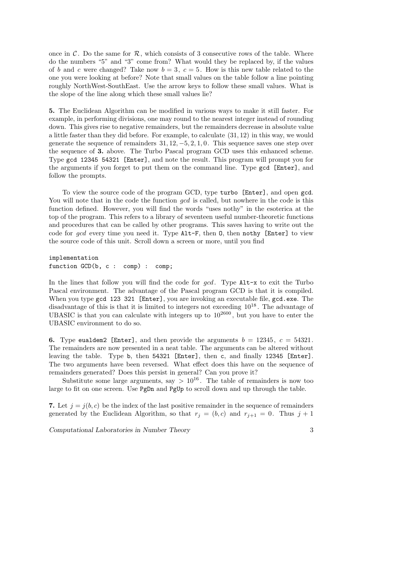once in C. Do the same for R, which consists of 3 consecutive rows of the table. Where do the numbers "5" and "3" come from? What would they be replaced by, if the values of b and c were changed? Take now  $b = 3, c = 5$ . How is this new table related to the one you were looking at before? Note that small values on the table follow a line pointing roughly NorthWest-SouthEast. Use the arrow keys to follow these small values. What is the slope of the line along which these small values lie?

5. The Euclidean Algorithm can be modified in various ways to make it still faster. For example, in performing divisions, one may round to the nearest integer instead of rounding down. This gives rise to negative remainders, but the remainders decrease in absolute value a little faster than they did before. For example, to calculate (31, 12) in this way, we would generate the sequence of remainders  $31, 12, -5, 2, 1, 0$ . This sequence saves one step over the sequence of 3. above. The Turbo Pascal program GCD uses this enhanced scheme. Type gcd 12345 54321 [Enter], and note the result. This program will prompt you for the arguments if you forget to put them on the command line. Type gcd [Enter], and follow the prompts.

To view the source code of the program GCD, type turbo [Enter], and open gcd. You will note that in the code the function *gcd* is called, but nowhere in the code is this function defined. However, you will find the words "uses nothy" in the esoterica at the top of the program. This refers to a library of seventeen useful number-theoretic functions and procedures that can be called by other programs. This saves having to write out the code for gcd every time you need it. Type Alt-F, then 0, then nothy [Enter] to view the source code of this unit. Scroll down a screen or more, until you find

implementation function GCD(b, c : comp) : comp;

In the lines that follow you will find the code for  $gcd.$  Type Alt-x to exit the Turbo Pascal environment. The advantage of the Pascal program GCD is that it is compiled. When you type gcd 123 321 [Enter], you are invoking an executable file, gcd.exe. The disadvantage of this is that it is limited to integers not exceeding  $10^{18}$ . The advantage of UBASIC is that you can calculate with integers up to  $10^{2600}$ , but you have to enter the UBASIC environment to do so.

6. Type eualdem2 [Enter], and then provide the arguments  $b = 12345$ ,  $c = 54321$ . The remainders are now presented in a neat table. The arguments can be altered without leaving the table. Type b, then 54321 [Enter], then c, and finally 12345 [Enter]. The two arguments have been reversed. What effect does this have on the sequence of remainders generated? Does this persist in general? Can you prove it?

Substitute some large arguments, say  $> 10^{16}$ . The table of remainders is now too large to fit on one screen. Use PgDn and PgUp to scroll down and up through the table.

7. Let  $j = j(b, c)$  be the index of the last positive remainder in the sequence of remainders generated by the Euclidean Algorithm, so that  $r_j = (b, c)$  and  $r_{j+1} = 0$ . Thus  $j + 1$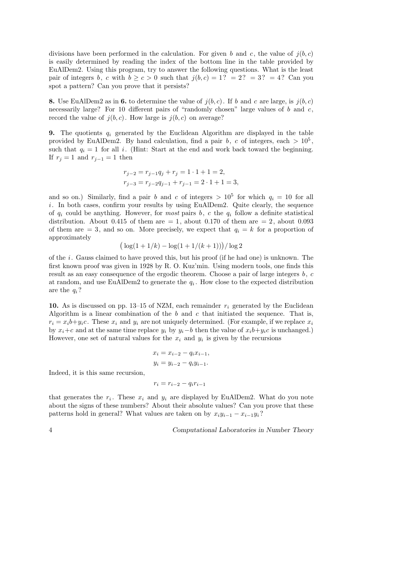divisions have been performed in the calculation. For given b and c, the value of  $j(b, c)$ is easily determined by reading the index of the bottom line in the table provided by EuAlDem2. Using this program, try to answer the following questions. What is the least pair of integers b, c with  $b \ge c > 0$  such that  $j(b, c) = 1$ ? = 2? = 3? = 4? Can you spot a pattern? Can you prove that it persists?

8. Use EuAlDem2 as in 6. to determine the value of  $j(b, c)$ . If b and c are large, is  $j(b, c)$ necessarily large? For 10 different pairs of "randomly chosen" large values of  $b$  and  $c$ , record the value of  $j(b, c)$ . How large is  $j(b, c)$  on average?

**9.** The quotients  $q_i$  generated by the Euclidean Algorithm are displayed in the table provided by EuAlDem2. By hand calculation, find a pair b, c of integers, each  $> 10^5$ , such that  $q_i = 1$  for all i. (Hint: Start at the end and work back toward the beginning. If  $r_j = 1$  and  $r_{j-1} = 1$  then

$$
r_{j-2} = r_{j-1}q_j + r_j = 1 \cdot 1 + 1 = 2,
$$
  

$$
r_{j-3} = r_{j-2}q_{j-1} + r_{j-1} = 2 \cdot 1 + 1 = 3,
$$

and so on.) Similarly, find a pair b and c of integers  $> 10^5$  for which  $q_i = 10$  for all i. In both cases, confirm your results by using EuAlDem2. Quite clearly, the sequence of  $q_i$  could be anything. However, for *most* pairs b, c the  $q_i$  follow a definite statistical distribution. About 0.415 of them are  $= 1$ , about 0.170 of them are  $= 2$ , about 0.093 of them are  $= 3$ , and so on. More precisely, we expect that  $q_i = k$  for a proportion of approximately

$$
(\log(1+1/k) - \log(1+1/(k+1)))/\log 2
$$

of the i. Gauss claimed to have proved this, but his proof (if he had one) is unknown. The first known proof was given in 1928 by R. O. Kuz'min. Using modern tools, one finds this result as an easy consequence of the ergodic theorem. Choose a pair of large integers  $b, c$ at random, and use EuAlDem2 to generate the  $q_i$ . How close to the expected distribution are the  $q_i$ ?

10. As is discussed on pp. 13–15 of NZM, each remainder  $r_i$  generated by the Euclidean Algorithm is a linear combination of the  $b$  and  $c$  that initiated the sequence. That is,  $r_i = x_i b + y_i c$ . These  $x_i$  and  $y_i$  are not uniquely determined. (For example, if we replace  $x_i$ by  $x_i+c$  and at the same time replace  $y_i$  by  $y_i-b$  then the value of  $x_ib+y_ic$  is unchanged.) However, one set of natural values for the  $x_i$  and  $y_i$  is given by the recursions

$$
x_i = x_{i-2} - q_i x_{i-1},
$$
  

$$
y_i = y_{i-2} - q_i y_{i-1}.
$$

Indeed, it is this same recursion,

$$
r_i = r_{i-2} - q_i r_{i-1}
$$

that generates the  $r_i$ . These  $x_i$  and  $y_i$  are displayed by EuAlDem2. What do you note about the signs of these numbers? About their absolute values? Can you prove that these patterns hold in general? What values are taken on by  $x_i y_{i-1} - x_{i-1} y_i$ ?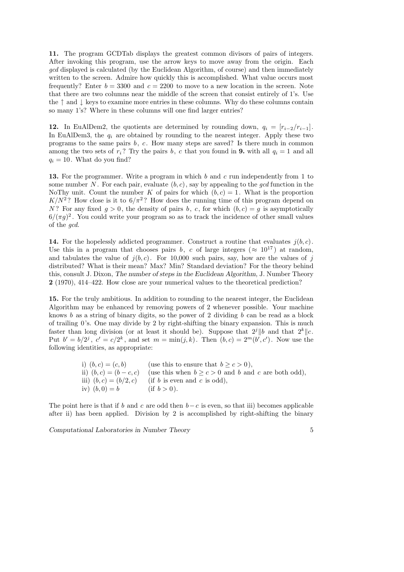11. The program GCDTab displays the greatest common divisors of pairs of integers. After invoking this program, use the arrow keys to move away from the origin. Each gcd displayed is calculated (by the Euclidean Algorithm, of course) and then immediately written to the screen. Admire how quickly this is accomplished. What value occurs most frequently? Enter  $b = 3300$  and  $c = 2200$  to move to a new location in the screen. Note that there are two columns near the middle of the screen that consist entirely of 1's. Use the  $\uparrow$  and  $\downarrow$  keys to examine more entries in these columns. Why do these columns contain so many 1's? Where in these columns will one find larger entries?

12. In EuAlDem2, the quotients are determined by rounding down,  $q_i = [r_{i-2}/r_{i-1}]$ . In EuAlDem3, the  $q_i$  are obtained by rounding to the nearest integer. Apply these two programs to the same pairs b, c. How many steps are saved? Is there much in common among the two sets of  $r_i$ ? Try the pairs b, c that you found in **9.** with all  $q_i = 1$  and all  $q_i = 10$ . What do you find?

13. For the programmer. Write a program in which b and c run independently from 1 to some number N. For each pair, evaluate  $(b, c)$ , say by appealing to the gcd function in the NoThy unit. Count the number K of pairs for which  $(b, c) = 1$ . What is the proportion  $K/N^2$ ? How close is it to  $6/\pi^2$ ? How does the running time of this program depend on N? For any fixed  $q > 0$ , the density of pairs b, c, for which  $(b, c) = q$  is asymptotically  $6/(\pi g)^2$ . You could write your program so as to track the incidence of other small values of the gcd.

14. For the hopelessly addicted programmer. Construct a routine that evaluates  $j(b, c)$ . Use this in a program that chooses pairs b, c of large integers ( $\approx 10^{17}$ ) at random, and tabulates the value of  $j(b, c)$ . For 10,000 such pairs, say, how are the values of j distributed? What is their mean? Max? Min? Standard deviation? For the theory behind this, consult J. Dixon, The number of steps in the Euclidean Algorithm, J. Number Theory 2 (1970), 414–422. How close are your numerical values to the theoretical prediction?

15. For the truly ambitious. In addition to rounding to the nearest integer, the Euclidean Algorithm may be enhanced by removing powers of 2 whenever possible. Your machine knows  $b$  as a string of binary digits, so the power of 2 dividing  $b$  can be read as a block of trailing 0's. One may divide by 2 by right-shifting the binary expansion. This is much faster than long division (or at least it should be). Suppose that  $2^{j} \| b \|$  and that  $2^{k} \| c$ . Put  $b' = b/2^j$ ,  $c' = c/2^k$ , and set  $m = \min(j, k)$ . Then  $(b, c) = 2^m(b', c')$ . Now use the following identities, as appropriate:

| i) $(b, c) = (c, b)$      | (use this to ensure that $b \geq c > 0$ ),               |
|---------------------------|----------------------------------------------------------|
| ii) $(b, c) = (b - c, c)$ | (use this when $b \geq c > 0$ and b and c are both odd), |
| iii) $(b, c) = (b/2, c)$  | (if b is even and c is odd),                             |
| iv) $(b, 0) = b$          | (if $b > 0$ ).                                           |

The point here is that if b and c are odd then  $b-c$  is even, so that iii) becomes applicable after ii) has been applied. Division by 2 is accomplished by right-shifting the binary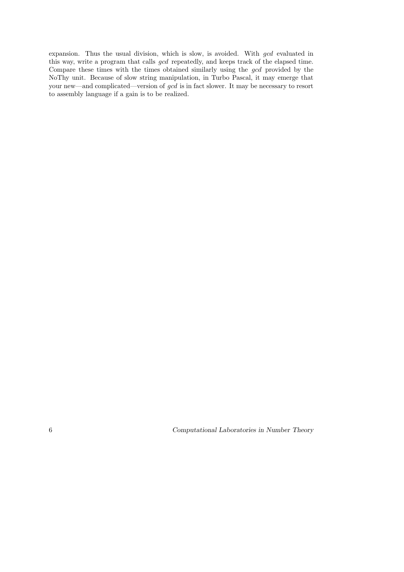expansion. Thus the usual division, which is slow, is avoided. With gcd evaluated in this way, write a program that calls gcd repeatedly, and keeps track of the elapsed time. Compare these times with the times obtained similarly using the gcd provided by the NoThy unit. Because of slow string manipulation, in Turbo Pascal, it may emerge that your new—and complicated—version of gcd is in fact slower. It may be necessary to resort to assembly language if a gain is to be realized.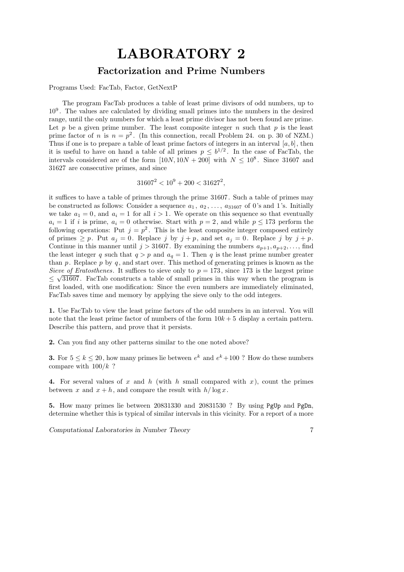# LABORATORY 2 Factorization and Prime Numbers

Programs Used: FacTab, Factor, GetNextP

The program FacTab produces a table of least prime divisors of odd numbers, up to 10<sup>9</sup> . The values are calculated by dividing small primes into the numbers in the desired range, until the only numbers for which a least prime divisor has not been found are prime. Let p be a given prime number. The least composite integer  $n$  such that p is the least prime factor of *n* is  $n = p^2$ . (In this connection, recall Problem 24. on p. 30 of NZM.) Thus if one is to prepare a table of least prime factors of integers in an interval  $[a, b]$ , then it is useful to have on hand a table of all primes  $p \leq b^{1/2}$ . In the case of FacTab, the intervals considered are of the form  $[10N, 10N + 200]$  with  $N \leq 10^8$ . Since 31607 and 31627 are consecutive primes, and since

$$
31607^2 < 10^9 + 200 < 31627^2
$$

it suffices to have a table of primes through the prime 31607. Such a table of primes may be constructed as follows: Consider a sequence  $a_1, a_2, \ldots, a_{31607}$  of 0's and 1's. Initially we take  $a_1 = 0$ , and  $a_i = 1$  for all  $i > 1$ . We operate on this sequence so that eventually  $a_i = 1$  if i is prime,  $a_i = 0$  otherwise. Start with  $p = 2$ , and while  $p \le 173$  perform the following operations: Put  $j = p^2$ . This is the least composite integer composed entirely of primes  $\geq p$ . Put  $a_j = 0$ . Replace j by  $j + p$ , and set  $a_j = 0$ . Replace j by  $j + p$ . Continue in this manner until  $j > 31607$ . By examining the numbers  $a_{p+1}, a_{p+2}, \ldots$ , find the least integer q such that  $q > p$  and  $a_q = 1$ . Then q is the least prime number greater than p. Replace p by q, and start over. This method of generating primes is known as the Sieve of Eratosthenes. It suffices to sieve only to  $p = 173$ , since 173 is the largest prime  $\leq \sqrt{31607}$ . FacTab constructs a table of small primes in this way when the program is first loaded, with one modification: Since the even numbers are immediately eliminated, FacTab saves time and memory by applying the sieve only to the odd integers.

1. Use FacTab to view the least prime factors of the odd numbers in an interval. You will note that the least prime factor of numbers of the form  $10k + 5$  display a certain pattern. Describe this pattern, and prove that it persists.

2. Can you find any other patterns similar to the one noted above?

**3.** For  $5 \le k \le 20$ , how many primes lie between  $e^k$  and  $e^k + 100$  ? How do these numbers compare with  $100/k$ ?

4. For several values of x and h (with h small compared with x), count the primes between x and  $x + h$ , and compare the result with  $h/\log x$ .

5. How many primes lie between 20831330 and 20831530 ? By using PgUp and PgDn, determine whether this is typical of similar intervals in this vicinity. For a report of a more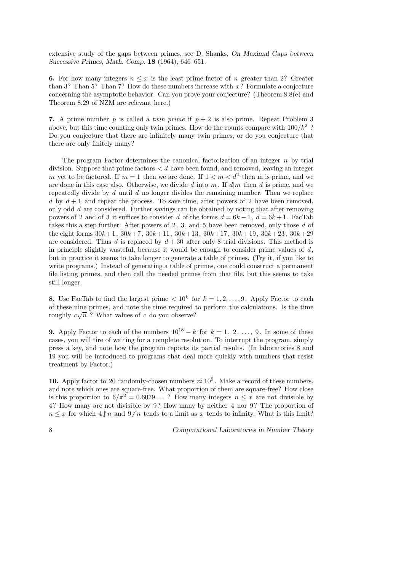extensive study of the gaps between primes, see D. Shanks, On Maximal Gaps between Successive Primes, Math. Comp. 18 (1964), 646–651.

6. For how many integers  $n \leq x$  is the least prime factor of n greater than 2? Greater than 3? Than 5? Than 7? How do these numbers increase with  $x$ ? Formulate a conjecture concerning the asymptotic behavior. Can you prove your conjecture? (Theorem 8.8(e) and Theorem 8.29 of NZM are relevant here.)

7. A prime number p is called a *twin prime* if  $p + 2$  is also prime. Repeat Problem 3 above, but this time counting only twin primes. How do the counts compare with  $100/k^2$ ? Do you conjecture that there are infinitely many twin primes, or do you conjecture that there are only finitely many?

The program Factor determines the canonical factorization of an integer  $n$  by trial division. Suppose that prime factors  $\langle d \rangle$  have been found, and removed, leaving an integer m yet to be factored. If  $m = 1$  then we are done. If  $1 < m < d<sup>2</sup>$  then m is prime, and we are done in this case also. Otherwise, we divide d into m. If  $d|m$  then d is prime, and we repeatedly divide by d until d no longer divides the remaining number. Then we replace d by  $d+1$  and repeat the process. To save time, after powers of 2 have been removed, only odd d are considered. Further savings can be obtained by noting that after removing powers of 2 and of 3 it suffices to consider d of the forms  $d = 6k - 1$ ,  $d = 6k + 1$ . FacTab takes this a step further: After powers of 2, 3, and 5 have been removed, only those d of the eight forms  $30k+1$ ,  $30k+7$ ,  $30k+11$ ,  $30k+13$ ,  $30k+17$ ,  $30k+19$ ,  $30k+23$ ,  $30k+29$ are considered. Thus d is replaced by  $d + 30$  after only 8 trial divisions. This method is in principle slightly wasteful, because it would be enough to consider prime values of  $d$ , but in practice it seems to take longer to generate a table of primes. (Try it, if you like to write programs.) Instead of generating a table of primes, one could construct a permanent file listing primes, and then call the needed primes from that file, but this seems to take still longer.

**8.** Use FacTab to find the largest prime  $\langle 10^k \text{ for } k = 1, 2, \ldots, 9$ . Apply Factor to each of these nine primes, and note the time required to perform the calculations. Is the time roughly  $c\sqrt{n}$  ? What values of c do you observe?

9. Apply Factor to each of the numbers  $10^{18} - k$  for  $k = 1, 2, \ldots, 9$ . In some of these cases, you will tire of waiting for a complete resolution. To interrupt the program, simply press a key, and note how the program reports its partial results. (In laboratories 8 and 19 you will be introduced to programs that deal more quickly with numbers that resist treatment by Factor.)

10. Apply factor to 20 randomly-chosen numbers  $\approx 10^9$ . Make a record of these numbers, and note which ones are square-free. What proportion of them are square-free? How close is this proportion to  $6/\pi^2 = 0.6079...$ ? How many integers  $n \leq x$  are not divisible by 4? How many are not divisible by 9? How many by neither 4 nor 9? The proportion of  $n \leq x$  for which  $4/n$  and  $9/n$  tends to a limit as x tends to infinity. What is this limit?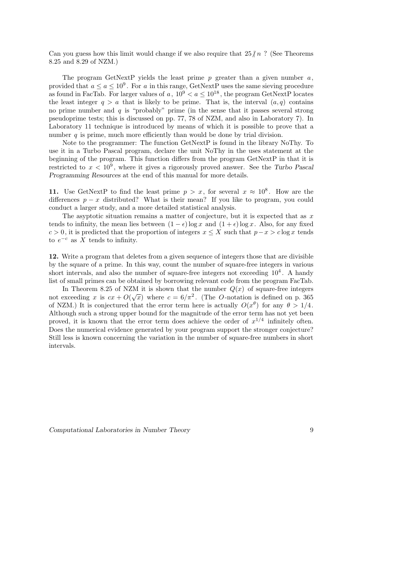Can you guess how this limit would change if we also require that  $25/n$ ? (See Theorems 8.25 and 8.29 of NZM.)

The program GetNextP yields the least prime p greater than a given number  $a$ , provided that  $a \le a \le 10^9$ . For a in this range, GetNextP uses the same sieving procedure as found in FacTab. For larger values of a,  $10^9 < a \leq 10^{18}$ , the program GetNextP locates the least integer  $q > a$  that is likely to be prime. That is, the interval  $(a, q)$  contains no prime number and  $q$  is "probably" prime (in the sense that it passes several strong pseudoprime tests; this is discussed on pp. 77, 78 of NZM, and also in Laboratory 7). In Laboratory 11 technique is introduced by means of which it is possible to prove that a number q is prime, much more efficiently than would be done by trial division.

Note to the programmer: The function GetNextP is found in the library NoThy. To use it in a Turbo Pascal program, declare the unit NoThy in the uses statement at the beginning of the program. This function differs from the program GetNextP in that it is restricted to  $x < 10<sup>9</sup>$ , where it gives a rigorously proved answer. See the Turbo Pascal Programming Resources at the end of this manual for more details.

11. Use GetNextP to find the least prime  $p > x$ , for several  $x \approx 10^8$ . How are the differences  $p - x$  distributed? What is their mean? If you like to program, you could conduct a larger study, and a more detailed statistical analysis.

The asyptotic situation remains a matter of conjecture, but it is expected that as  $x$ tends to infinity, the mean lies between  $(1 - \epsilon) \log x$  and  $(1 + \epsilon) \log x$ . Also, for any fixed  $c > 0$ , it is predicted that the proportion of integers  $x \leq X$  such that  $p-x > c \log x$  tends to  $e^{-c}$  as X tends to infinity.

12. Write a program that deletes from a given sequence of integers those that are divisible by the square of a prime. In this way, count the number of square-free integers in various short intervals, and also the number of square-free integers not exceeding  $10^4$ . A handy list of small primes can be obtained by borrowing relevant code from the program FacTab.

In Theorem 8.25 of NZM it is shown that the number  $Q(x)$  of square-free integers not exceeding x is  $cx + O(\sqrt{x})$  where  $c = 6/\pi^2$ . (The O-notation is defined on p. 365) of NZM.) It is conjectured that the error term here is actually  $O(x^{\theta})$  for any  $\theta > 1/4$ . Although such a strong upper bound for the magnitude of the error term has not yet been proved, it is known that the error term does achieve the order of  $x^{1/4}$  infinitely often. Does the numerical evidence generated by your program support the stronger conjecture? Still less is known concerning the variation in the number of square-free numbers in short intervals.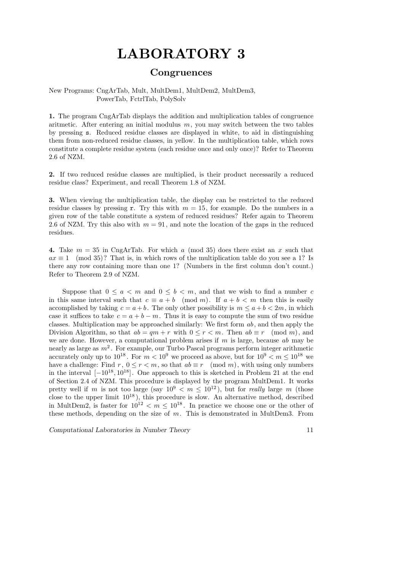# LABORATORY 3

#### Congruences

New Programs: CngArTab, Mult, MultDem1, MultDem2, MultDem3, PowerTab, FctrlTab, PolySolv

1. The program CngArTab displays the addition and multiplication tables of congruence aritmetic. After entering an initial modulus  $m$ , you may switch between the two tables by pressing s. Reduced residue classes are displayed in white, to aid in distinguishing them from non-reduced residue classes, in yellow. In the multiplication table, which rows constitute a complete residue system (each residue once and only once)? Refer to Theorem 2.6 of NZM.

2. If two reduced residue classes are multiplied, is their product necessarily a reduced residue class? Experiment, and recall Theorem 1.8 of NZM.

3. When viewing the multiplication table, the display can be restricted to the reduced residue classes by pressing r. Try this with  $m = 15$ , for example. Do the numbers in a given row of the table constitute a system of reduced residues? Refer again to Theorem 2.6 of NZM. Try this also with  $m = 91$ , and note the location of the gaps in the reduced residues.

4. Take  $m = 35$  in CngArTab. For which a (mod 35) does there exist an x such that  $ax \equiv 1 \pmod{35}$ ? That is, in which rows of the multiplication table do you see a 1? Is there any row containing more than one 1? (Numbers in the first column don't count.) Refer to Theorem 2.9 of NZM.

Suppose that  $0 \le a < m$  and  $0 \le b < m$ , and that we wish to find a number c in this same interval such that  $c \equiv a + b \pmod{m}$ . If  $a + b < m$  then this is easily accomplished by taking  $c = a + b$ . The only other possibility is  $m \le a + b < 2m$ , in which case it suffices to take  $c = a + b - m$ . Thus it is easy to compute the sum of two residue classes. Multiplication may be approached similarly: We first form  $ab$ , and then apply the Division Algorithm, so that  $ab = qm + r$  with  $0 \le r < m$ . Then  $ab \equiv r \pmod{m}$ , and we are done. However, a computational problem arises if  $m$  is large, because  $ab$  may be nearly as large as  $m^2$ . For example, our Turbo Pascal programs perform integer arithmetic accurately only up to  $10^{18}$ . For  $m < 10^9$  we proceed as above, but for  $10^9 < m \leq 10^{18}$  we have a challenge: Find r,  $0 \le r < m$ , so that  $ab \equiv r \pmod{m}$ , with using only numbers in the interval  $[-10^{18}, 10^{18}]$ . One approach to this is sketched in Problem 21 at the end of Section 2.4 of NZM. This procedure is displayed by the program MultDem1. It works pretty well if m is not too large (say  $10^9 < m \le 10^{12}$ ), but for really large m (those close to the upper limit  $10^{18}$ ), this procedure is slow. An alternative method, described in MultDem2, is faster for  $10^{12} < m \le 10^{18}$ . In practice we choose one or the other of these methods, depending on the size of  $m$ . This is demonstrated in MultDem3. From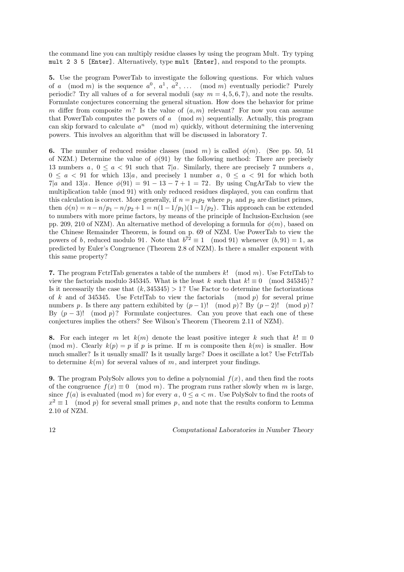the command line you can multiply residue classes by using the program Mult. Try typing mult 2 3 5 [Enter]. Alternatively, type mult [Enter], and respond to the prompts.

5. Use the program PowerTab to investigate the following questions. For which values of a (mod m) is the sequence  $a^0, a^1, a^2, \ldots$  (mod m) eventually periodic? Purely periodic? Try all values of a for several moduli (say  $m = 4, 5, 6, 7$ ), and note the results. Formulate conjectures concerning the general situation. How does the behavior for prime m differ from composite m? Is the value of  $(a, m)$  relevant? For now you can assume that PowerTab computes the powers of  $a \pmod{m}$  sequentially. Actually, this program can skip forward to calculate  $a^n \pmod{m}$  quickly, without determining the intervening powers. This involves an algorithm that will be discussed in laboratory 7.

**6.** The number of reduced residue classes (mod m) is called  $\phi(m)$ . (See pp. 50, 51 of NZM.) Determine the value of  $\phi(91)$  by the following method: There are precisely 13 numbers  $a, 0 \le a < 91$  such that  $7|a$ . Similarly, there are precisely 7 numbers  $a$ ,  $0 \le a < 91$  for which  $13|a$ , and precisely 1 number  $a, 0 \le a < 91$  for which both  $7|a \text{ and } 13|a$ . Hence  $\phi(91) = 91 - 13 - 7 + 1 = 72$ . By using CngArTab to view the multiplication table (mod 91) with only reduced residues displayed, you can confirm that this calculation is correct. More generally, if  $n = p_1p_2$  where  $p_1$  and  $p_2$  are distinct primes, then  $\phi(n) = n - n/p_1 - n/p_2 + 1 = n(1 - 1/p_1)(1 - 1/p_2)$ . This approach can be extended to numbers with more prime factors, by means of the principle of Inclusion-Exclusion (see pp. 209, 210 of NZM). An alternative method of developing a formula for  $\phi(m)$ , based on the Chinese Remainder Theorem, is found on p. 69 of NZM. Use PowerTab to view the powers of b, reduced modulo 91. Note that  $b^{72} \equiv 1 \pmod{91}$  whenever  $(b, 91) = 1$ , as predicted by Euler's Congruence (Theorem 2.8 of NZM). Is there a smaller exponent with this same property?

**7.** The program FctrlTab generates a table of the numbers  $k! \pmod{m}$ . Use FctrlTab to view the factorials modulo 345345. What is the least k such that  $k! \equiv 0 \pmod{345345}$ ? Is it necessarily the case that  $(k, 345345) > 1$ ? Use Factor to determine the factorizations of k and of 345345. Use FctrlTab to view the factorials (mod p) for several prime numbers p. Is there any pattern exhibited by  $(p-1)! \pmod{p}$ ? By  $(p-2)! \pmod{p}$ ? By  $(p-3)! \pmod{p}$ ? Formulate conjectures. Can you prove that each one of these conjectures implies the others? See Wilson's Theorem (Theorem 2.11 of NZM).

8. For each integer m let  $k(m)$  denote the least positive integer k such that  $k! \equiv 0$ (mod m). Clearly  $k(p) = p$  if p is prime. If m is composite then  $k(m)$  is smaller. How much smaller? Is it usually small? Is it usually large? Does it oscillate a lot? Use FctrlTab to determine  $k(m)$  for several values of m, and interpret your findings.

**9.** The program PolySolv allows you to define a polynomial  $f(x)$ , and then find the roots of the congruence  $f(x) \equiv 0 \pmod{m}$ . The program runs rather slowly when m is large, since  $f(a)$  is evaluated (mod m) for every a,  $0 \le a \le m$ . Use PolySolv to find the roots of  $x^2 \equiv 1 \pmod{p}$  for several small primes p, and note that the results conform to Lemma 2.10 of NZM.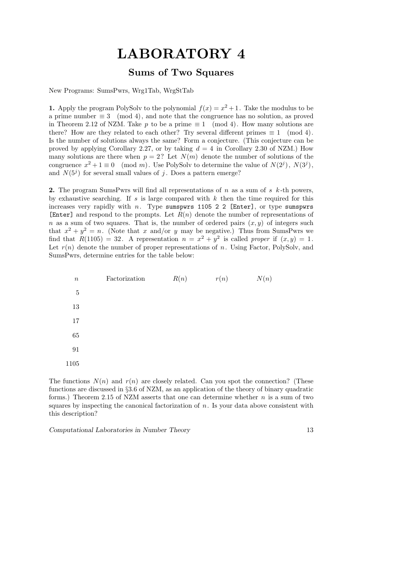## LABORATORY 4

### Sums of Two Squares

New Programs: SumsPwrs, Wrg1Tab, WrgStTab

**1.** Apply the program PolySolv to the polynomial  $f(x) = x^2 + 1$ . Take the modulus to be a prime number  $\equiv 3 \pmod{4}$ , and note that the congruence has no solution, as proved in Theorem 2.12 of NZM. Take p to be a prime  $\equiv 1 \pmod{4}$ . How many solutions are there? How are they related to each other? Try several different primes  $\equiv 1 \pmod{4}$ . Is the number of solutions always the same? Form a conjecture. (This conjecture can be proved by applying Corollary 2.27, or by taking  $d = 4$  in Corollary 2.30 of NZM.) How many solutions are there when  $p = 2$ ? Let  $N(m)$  denote the number of solutions of the congruence  $x^2 + 1 \equiv 0 \pmod{m}$ . Use PolySolv to determine the value of  $N(2^j)$ ,  $N(3^j)$ , and  $N(5^j)$  for several small values of j. Does a pattern emerge?

**2.** The program SumsPwrs will find all representations of n as a sum of s  $k$ -th powers, by exhaustive searching. If s is large compared with  $k$  then the time required for this increases very rapidly with  $n$ . Type sumspwrs 1105 2 2 [Enter], or type sumspwrs [Enter] and respond to the prompts. Let  $R(n)$  denote the number of representations of n as a sum of two squares. That is, the number of ordered pairs  $(x, y)$  of integers such that  $x^2 + y^2 = n$ . (Note that x and/or y may be negative.) Thus from SumsPwrs we find that  $R(1105) = 32$ . A representation  $n = x^2 + y^2$  is called proper if  $(x, y) = 1$ . Let  $r(n)$  denote the number of proper representations of n. Using Factor, PolySolv, and SumsPwrs, determine entries for the table below:

| $\, n$         | Factorization                                                                            | R(n) | r(n) | N(n) |  |
|----------------|------------------------------------------------------------------------------------------|------|------|------|--|
| $\overline{5}$ |                                                                                          |      |      |      |  |
| 13             |                                                                                          |      |      |      |  |
| 17             |                                                                                          |      |      |      |  |
| 65             |                                                                                          |      |      |      |  |
| 91             |                                                                                          |      |      |      |  |
| 1105           |                                                                                          |      |      |      |  |
|                | The functions $N(n)$ and $r(n)$ are closely related. Can you spot the connection? (These |      |      |      |  |

functions are discussed in §3.6 of NZM, as an application of the theory of binary quadratic forms.) Theorem 2.15 of NZM asserts that one can determine whether  $n$  is a sum of two squares by inspecting the canonical factorization of  $n$ . Is your data above consistent with this description?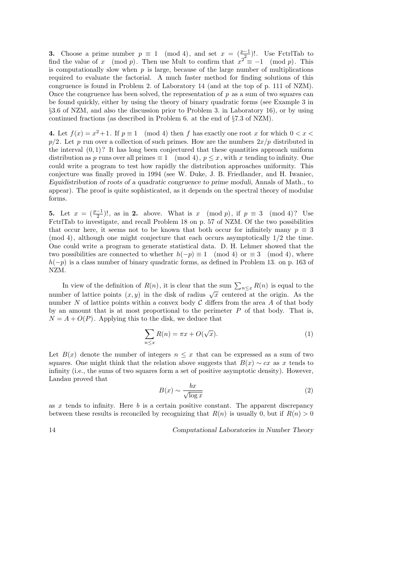**3.** Choose a prime number  $p \equiv 1 \pmod{4}$ , and set  $x = \left(\frac{p-1}{2}\right)!$ . Use FetriTab to find the value of x (mod p). Then use Mult to confirm that  $x^2 \equiv -1 \pmod{p}$ . This is computationally slow when  $p$  is large, because of the large number of multiplications required to evaluate the factorial. A much faster method for finding solutions of this congruence is found in Problem 2. of Laboratory 14 (and at the top of p. 111 of NZM). Once the congruence has been solved, the representation of  $p$  as a sum of two squares can be found quickly, either by using the theory of binary quadratic forms (see Example 3 in §3.6 of NZM, and also the discussion prior to Problem 3. in Laboratory 16), or by using continued fractions (as described in Problem 6. at the end of §7.3 of NZM).

4. Let  $f(x) = x^2 + 1$ . If  $p \equiv 1 \pmod{4}$  then f has exactly one root x for which  $0 < x <$  $p/2$ . Let p run over a collection of such primes. How are the numbers  $2x/p$  distributed in the interval  $(0, 1)$ ? It has long been conjectured that these quantities approach uniform distribution as p runs over all primes  $\equiv 1 \pmod{4}$ ,  $p \leq x$ , with x tending to infinity. One could write a program to test how rapidly the distribution approaches uniformity. This conjecture was finally proved in 1994 (see W. Duke, J. B. Friedlander, and H. Iwaniec, Equidistribution of roots of a quadratic congruence to prime moduli, Annals of Math., to appear). The proof is quite sophisticated, as it depends on the spectral theory of modular forms.

**5.** Let  $x = \left(\frac{p-1}{2}\right)!$ , as in 2. above. What is x  $\pmod{p}$ , if  $p \equiv 3 \pmod{4}$ ? Use FctrlTab to investigate, and recall Problem 18 on p. 57 of NZM. Of the two possibilities that occur here, it seems not to be known that both occur for infinitely many  $p \equiv 3$ (mod 4), although one might conjecture that each occurs asymptotically 1/2 the time. One could write a program to generate statistical data. D. H. Lehmer showed that the two possibilities are connected to whether  $h(-p) \equiv 1 \pmod{4}$  or  $\equiv 3 \pmod{4}$ , where  $h(-p)$  is a class number of binary quadratic forms, as defined in Problem 13. on p. 163 of NZM.

In view of the definition of  $R(n)$ , it is clear that the sum  $\sum_{n\leq x} R(n)$  is equal to the In view of the definition of  $R(n)$ , it is clear that the sum  $\sum_{n \leq x} R(n)$  is equal to the number of lattice points  $(x, y)$  in the disk of radius  $\sqrt{x}$  centered at the origin. As the number N of lattice points within a convex body  $\mathcal C$  differs from the area A of that body by an amount that is at most proportional to the perimeter  $P$  of that body. That is,  $N = A + O(P)$ . Applying this to the disk, we deduce that

$$
\sum_{n \le x} R(n) = \pi x + O(\sqrt{x}).\tag{1}
$$

Let  $B(x)$  denote the number of integers  $n \leq x$  that can be expressed as a sum of two squares. One might think that the relation above suggests that  $B(x) \sim cx$  as x tends to infinity (i.e., the sums of two squares form a set of positive asymptotic density). However, Landau proved that

$$
B(x) \sim \frac{bx}{\sqrt{\log x}}\tag{2}
$$

as x tends to infinity. Here  $b$  is a certain positive constant. The apparent discrepancy between these results is reconciled by recognizing that  $R(n)$  is usually 0, but if  $R(n) > 0$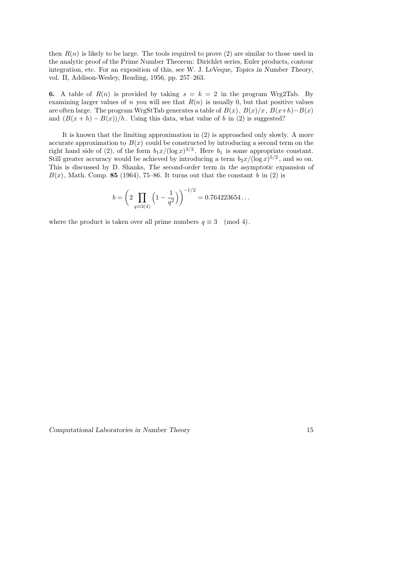then  $R(n)$  is likely to be large. The tools required to prove (2) are similar to those used in the analytic proof of the Prime Number Theorem: Dirichlet series, Euler products, contour integration, etc. For an exposition of this, see W. J. LeVeque, Topics in Number Theory, vol. II, Addison-Wesley, Reading, 1956, pp. 257–263.

6. A table of  $R(n)$  is provided by taking  $s = k = 2$  in the program Wrg2Tab. By examining larger values of n you will see that  $R(n)$  is usually 0, but that positive values are often large. The program WrgStTab generates a table of  $B(x)$ ,  $B(x)/x$ ,  $B(x+h)-B(x)$ and  $(B(x+h) - B(x))/h$ . Using this data, what value of b in (2) is suggested?

It is known that the limiting approximation in (2) is approached only slowly. A more accurate approximation to  $B(x)$  could be constructed by introducing a second term on the right hand side of (2), of the form  $b_1x/(\log x)^{3/2}$ . Here  $b_1$  is some appropriate constant. Still greater accuracy would be achieved by introducing a term  $b_2x/(\log x)^{5/2}$ , and so on. This is discussed by D. Shanks, The second-order term in the asymptotic expansion of  $B(x)$ , Math. Comp. 85 (1964), 75–86. It turns out that the constant b in (2) is

$$
b = \left(2 \prod_{q \equiv 3(4)} \left(1 - \frac{1}{q^2}\right)\right)^{-1/2} = 0.764223654\dots
$$

where the product is taken over all prime numbers  $q \equiv 3 \pmod{4}$ .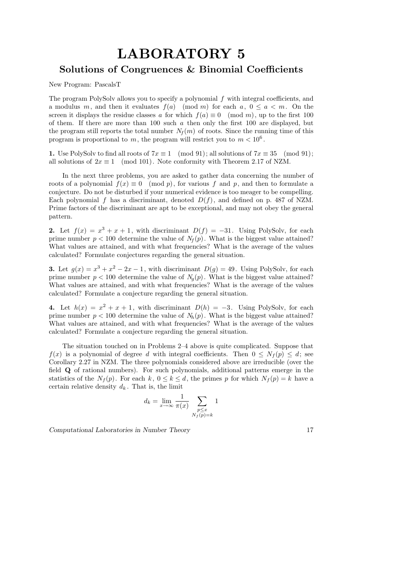### LABORATORY 5 Solutions of Congruences & Binomial Coefficients

New Program: PascalsT

The program PolySolv allows you to specify a polynomial f with integral coefficients, and a modulus m, and then it evaluates  $f(a) \pmod{m}$  for each  $a, 0 \le a \le m$ . On the screen it displays the residue classes a for which  $f(a) \equiv 0 \pmod{m}$ , up to the first 100 of them. If there are more than 100 such  $\alpha$  then only the first 100 are displayed, but the program still reports the total number  $N_f(m)$  of roots. Since the running time of this program is proportional to  $m$ , the program will restrict you to  $m < 10^6$ .

1. Use PolySolv to find all roots of  $7x \equiv 1 \pmod{91}$ ; all solutions of  $7x \equiv 35 \pmod{91}$ ; all solutions of  $2x \equiv 1 \pmod{101}$ . Note conformity with Theorem 2.17 of NZM.

In the next three problems, you are asked to gather data concerning the number of roots of a polynomial  $f(x) \equiv 0 \pmod{p}$ , for various f and p, and then to formulate a conjecture. Do not be disturbed if your numerical evidence is too meager to be compelling. Each polynomial f has a discriminant, denoted  $D(f)$ , and defined on p. 487 of NZM. Prime factors of the discriminant are apt to be exceptional, and may not obey the general pattern.

2. Let  $f(x) = x^3 + x + 1$ , with discriminant  $D(f) = -31$ . Using PolySolv, for each prime number  $p < 100$  determine the value of  $N_f(p)$ . What is the biggest value attained? What values are attained, and with what frequencies? What is the average of the values calculated? Formulate conjectures regarding the general situation.

**3.** Let  $g(x) = x^3 + x^2 - 2x - 1$ , with discriminant  $D(g) = 49$ . Using PolySolv, for each prime number  $p < 100$  determine the value of  $N_q(p)$ . What is the biggest value attained? What values are attained, and with what frequencies? What is the average of the values calculated? Formulate a conjecture regarding the general situation.

4. Let  $h(x) = x^2 + x + 1$ , with discriminant  $D(h) = -3$ . Using PolySolv, for each prime number  $p < 100$  determine the value of  $N_h(p)$ . What is the biggest value attained? What values are attained, and with what frequencies? What is the average of the values calculated? Formulate a conjecture regarding the general situation.

The situation touched on in Problems 2–4 above is quite complicated. Suppose that  $f(x)$  is a polynomial of degree d with integral coefficients. Then  $0 \leq N_f(p) \leq d$ ; see Corollary 2.27 in NZM. The three polynomials considered above are irreducible (over the field Q of rational numbers). For such polynomials, additional patterns emerge in the statistics of the  $N_f(p)$ . For each k,  $0 \le k \le d$ , the primes p for which  $N_f(p) = k$  have a certain relative density  $d_k$ . That is, the limit

$$
d_k = \lim_{x \to \infty} \frac{1}{\pi(x)} \sum_{\substack{p \le x \\ N_f(p) = k}} 1
$$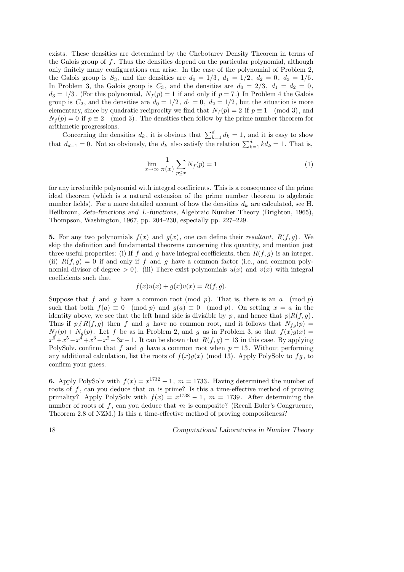exists. These densities are determined by the Chebotarev Density Theorem in terms of the Galois group of  $f$ . Thus the densities depend on the particular polynomial, although only finitely many configurations can arise. In the case of the polynomial of Problem 2, the Galois group is  $S_3$ , and the densities are  $d_0 = 1/3$ ,  $d_1 = 1/2$ ,  $d_2 = 0$ ,  $d_3 = 1/6$ . In Problem 3, the Galois group is  $C_3$ , and the densities are  $d_0 = 2/3$ ,  $d_1 = d_2 = 0$ ,  $d_3 = 1/3$ . (For this polynomial,  $N_f(p) = 1$  if and only if  $p = 7$ .) In Problem 4 the Galois group is  $C_2$ , and the densities are  $d_0 = 1/2$ ,  $d_1 = 0$ ,  $d_2 = 1/2$ , but the situation is more elementary, since by quadratic reciprocity we find that  $N_f(p) = 2$  if  $p \equiv 1 \pmod{3}$ , and  $N_f(p) = 0$  if  $p \equiv 2 \pmod{3}$ . The densities then follow by the prime number theorem for arithmetic progressions.

Concerning the densities  $d_k$ , it is obvious that  $\sum_{k=1}^d d_k = 1$ , and it is easy to show that  $d_{d-1} = 0$ . Not so obviously, the  $d_k$  also satisfy the relation  $\sum_{k=1}^{d} k d_k = 1$ . That is,

$$
\lim_{x \to \infty} \frac{1}{\pi(x)} \sum_{p \le x} N_f(p) = 1 \tag{1}
$$

for any irreducible polynomial with integral coefficients. This is a consequence of the prime ideal theorem (which is a natural extension of the prime number theorem to algebraic number fields). For a more detailed account of how the densities  $d_k$  are calculated, see H. Heilbronn, Zeta-functions and L-functions, Algebraic Number Theory (Brighton, 1965), Thompson, Washington, 1967, pp. 204–230, especially pp. 227–229.

5. For any two polynomials  $f(x)$  and  $g(x)$ , one can define their *resultant*,  $R(f, g)$ . We skip the definition and fundamental theorems concerning this quantity, and mention just three useful properties: (i) If f and g have integral coefficients, then  $R(f, g)$  is an integer. (ii)  $R(f, g) = 0$  if and only if f and g have a common factor (i.e., and common polynomial divisor of degree  $> 0$ ). (iii) There exist polynomials  $u(x)$  and  $v(x)$  with integral coefficients such that

$$
f(x)u(x) + g(x)v(x) = R(f, g).
$$

Suppose that f and g have a common root (mod p). That is, there is an a (mod p) such that both  $f(a) \equiv 0 \pmod{p}$  and  $g(a) \equiv 0 \pmod{p}$ . On setting  $x = a$  in the identity above, we see that the left hand side is divisible by p, and hence that  $p|R(f, g)$ . Thus if  $p/R(f, g)$  then f and g have no common root, and it follows that  $N_{fg}(p)$  =  $N_f(p) + N_g(p)$ . Let f be as in Problem 2, and g as in Problem 3, so that  $f(x)g(x) =$  $x^6 + x^5 - x^4 + x^3 - x^2 - 3x - 1$ . It can be shown that  $R(f, g) = 13$  in this case. By applying PolySolv, confirm that f and g have a common root when  $p = 13$ . Without performing any additional calculation, list the roots of  $f(x)g(x)$  (mod 13). Apply PolySolv to fg, to confirm your guess.

**6.** Apply PolySolv with  $f(x) = x^{1732} - 1$ ,  $m = 1733$ . Having determined the number of roots of  $f$ , can you deduce that  $m$  is prime? Is this a time-effective method of proving primality? Apply PolySolv with  $f(x) = x^{1738} - 1$ ,  $m = 1739$ . After determining the number of roots of  $f$ , can you deduce that m is composite? (Recall Euler's Congruence, Theorem 2.8 of NZM.) Is this a time-effective method of proving compositeness?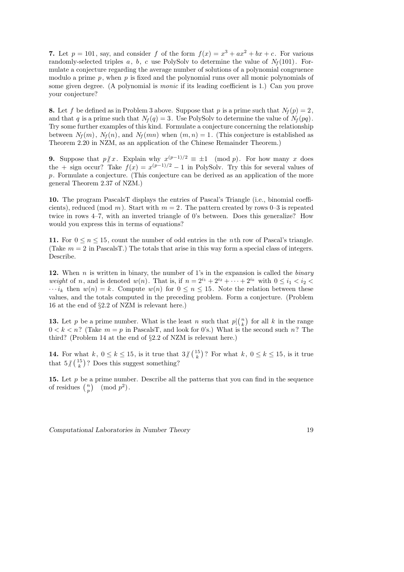7. Let  $p = 101$ , say, and consider f of the form  $f(x) = x^3 + ax^2 + bx + c$ . For various randomly-selected triples a, b, c use PolySolv to determine the value of  $N_f(101)$ . Formulate a conjecture regarding the average number of solutions of a polynomial congruence modulo a prime  $p$ , when  $p$  is fixed and the polynomial runs over all monic polynomials of some given degree. (A polynomial is monic if its leading coefficient is 1.) Can you prove your conjecture?

8. Let f be defined as in Problem 3 above. Suppose that p is a prime such that  $N_f(p) = 2$ , and that q is a prime such that  $N_f(q) = 3$ . Use PolySolv to determine the value of  $N_f(pq)$ . Try some further examples of this kind. Formulate a conjecture concerning the relationship between  $N_f(m)$ ,  $N_f(n)$ , and  $N_f(mn)$  when  $(m, n) = 1$ . (This conjecture is established as Theorem 2.20 in NZM, as an application of the Chinese Remainder Theorem.)

**9.** Suppose that  $p \nmid x$ . Explain why  $x^{(p-1)/2} \equiv \pm 1 \pmod{p}$ . For how many x does the + sign occur? Take  $f(x) = x^{(p-1)/2} - 1$  in PolySolv. Try this for several values of p. Formulate a conjecture. (This conjecture can be derived as an application of the more general Theorem 2.37 of NZM.)

10. The program PascalsT displays the entries of Pascal's Triangle (i.e., binomial coefficients), reduced (mod m). Start with  $m = 2$ . The pattern created by rows 0–3 is repeated twice in rows 4–7, with an inverted triangle of 0's between. Does this generalize? How would you express this in terms of equations?

11. For  $0 \le n \le 15$ , count the number of odd entries in the *n*th row of Pascal's triangle. (Take  $m = 2$  in PascalsT.) The totals that arise in this way form a special class of integers. Describe.

12. When  $n$  is written in binary, the number of 1's in the expansion is called the *binary* weight of n, and is denoted w(n). That is, if  $n = 2^{i_1} + 2^{i_2} + \cdots + 2^{i_k}$  with  $0 \le i_1 < i_2$  $\cdots i_k$  then  $w(n) = k$ . Compute  $w(n)$  for  $0 \le n \le 15$ . Note the relation between these values, and the totals computed in the preceding problem. Form a conjecture. (Problem 16 at the end of §2.2 of NZM is relevant here.)

**13.** Let p be a prime number. What is the least n such that  $p\vert\vert\vert\vert\vert\vert\vert$  $\binom{n}{k}$  for all k in the range  $0 < k < n$ ? (Take  $m = p$  in PascalsT, and look for 0's.) What is the second such n? The third? (Problem 14 at the end of §2.2 of NZM is relevant here.)

**14.** For what  $k, 0 \leq k \leq 15$ , is it true that  $3/\binom{15}{k}$  $\binom{15}{k}$ ? For what  $k, 0 \leq k \leq 15$ , is it true that  $5/\binom{15}{k}$  $\binom{15}{k}$ ? Does this suggest something?

15. Let  $p$  be a prime number. Describe all the patterns that you can find in the sequence of residues  $\binom{n}{n}$  $\genfrac{}{}{0pt}{}{n}{p}\quad\!\!\pmod{p^2}.$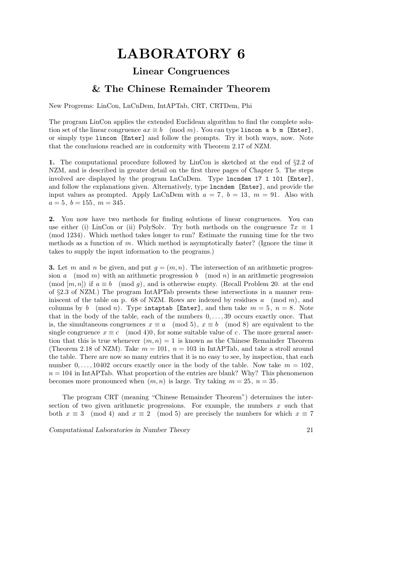# LABORATORY 6

### Linear Congruences

### & The Chinese Remainder Theorem

New Progrems: LinCon, LnCnDem, IntAPTab, CRT, CRTDem, Phi

The program LinCon applies the extended Euclidean algorithm to find the complete solution set of the linear congruence  $ax \equiv b \pmod{m}$ . You can type lincon a b m [Enter], or simply type lincon [Enter] and follow the prompts. Try it both ways, now. Note that the conclusions reached are in conformity with Theorem 2.17 of NZM.

1. The computational procedure followed by LinCon is sketched at the end of §2.2 of NZM, and is described in greater detail on the first three pages of Chapter 5. The steps involved are displayed by the program LnCnDem. Type lncndem 17 1 101 [Enter], and follow the explanations given. Alternatively, type lncndem [Enter], and provide the input values as prompted. Apply LnCnDem with  $a = 7$ ,  $b = 13$ ,  $m = 91$ . Also with  $a = 5, b = 155, m = 345.$ 

2. You now have two methods for finding solutions of linear congruences. You can use either (i) LinCon or (ii) PolySolv. Try both methods on the congruence  $7x \equiv 1$ (mod 1234). Which method takes longer to run? Estimate the running time for the two methods as a function of  $m$ . Which method is asymptotically faster? (Ignore the time it takes to supply the input information to the programs.)

**3.** Let m and n be given, and put  $g = (m, n)$ . The intersection of an arithmetic progression a (mod m) with an arithmetic progression b (mod n) is an arithmetic progression (mod  $[m, n]$ ) if  $a \equiv b \pmod{q}$ , and is otherwise empty. (Recall Problem 20. at the end of §2.3 of NZM.) The program IntAPTab presents these intersections in a manner reminiscent of the table on p. 68 of NZM. Rows are indexed by residues  $a \pmod{m}$ , and columns by b (mod n). Type intaptab [Enter], and then take  $m = 5$ ,  $n = 8$ . Note that in the body of the table, each of the numbers  $0, \ldots, 39$  occurs exactly once. That is, the simultaneous congruences  $x \equiv a \pmod{5}$ ,  $x \equiv b \pmod{8}$  are equivalent to the single congruence  $x \equiv c \pmod{4}$ , for some suitable value of c. The more general assertion that this is true whenever  $(m, n) = 1$  is known as the Chinese Remainder Theorem (Theorem 2.18 of NZM). Take  $m = 101$ ,  $n = 103$  in IntAPTab, and take a stroll around the table. There are now so many entries that it is no easy to see, by inspection, that each number  $0, \ldots, 10402$  occurs exactly once in the body of the table. Now take  $m = 102$ ,  $n = 104$  in IntAPTab. What proportion of the entries are blank? Why? This phenomenon becomes more pronounced when  $(m, n)$  is large. Try taking  $m = 25$ ,  $n = 35$ .

The program CRT (meaning "Chinese Remainder Theorem") determines the intersection of two given arithmetic progressions. For example, the numbers  $x$  such that both  $x \equiv 3 \pmod{4}$  and  $x \equiv 2 \pmod{5}$  are precisely the numbers for which  $x \equiv 7$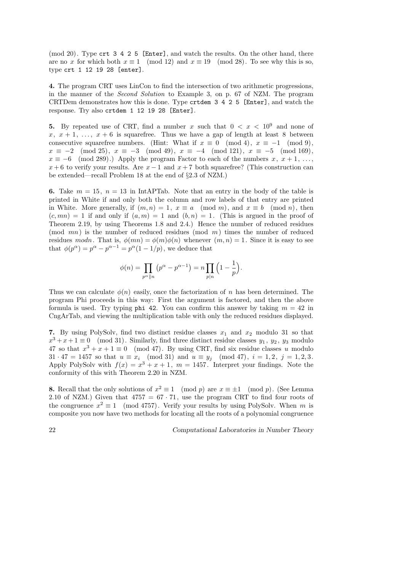(mod 20). Type crt 3 4 2 5 [Enter], and watch the results. On the other hand, there are no x for which both  $x \equiv 1 \pmod{12}$  and  $x \equiv 19 \pmod{28}$ . To see why this is so, type crt 1 12 19 28 [enter].

4. The program CRT uses LinCon to find the intersection of two arithmetic progressions, in the manner of the Second Solution to Example 3, on p. 67 of NZM. The program CRTDem demonstrates how this is done. Type crtdem 3 4 2 5 [Enter], and watch the response. Try also crtdem 1 12 19 28 [Enter].

5. By repeated use of CRT, find a number x such that  $0 < x < 10^9$  and none of x,  $x + 1$ , ...,  $x + 6$  is squarefree. Thus we have a gap of length at least 8 between consecutive squarefree numbers. (Hint: What if  $x \equiv 0 \pmod{4}$ ,  $x \equiv -1 \pmod{9}$ ,  $x \equiv -2 \pmod{25}$ ,  $x \equiv -3 \pmod{49}$ ,  $x \equiv -4 \pmod{121}$ ,  $x \equiv -5 \pmod{169}$ ,  $x \equiv -6 \pmod{289}$ .) Apply the program Factor to each of the numbers  $x, x+1, \ldots$ ,  $x + 6$  to verify your results. Are  $x - 1$  and  $x + 7$  both squarefree? (This construction can be extended—recall Problem 18 at the end of §2.3 of NZM.)

6. Take  $m = 15$ ,  $n = 13$  in IntAPTab. Note that an entry in the body of the table is printed in White if and only both the column and row labels of that entry are printed in White. More generally, if  $(m, n) = 1$ ,  $x \equiv a \pmod{m}$ , and  $x \equiv b \pmod{n}$ , then  $(c, mn) = 1$  if and only if  $(a, m) = 1$  and  $(b, n) = 1$ . (This is argued in the proof of Theorem 2.19, by using Theorems 1.8 and 2.4.) Hence the number of reduced residues  $(mod \, mn)$  is the number of reduced residues  $(mod \, m)$  times the number of reduced residues modn. That is,  $\phi(mn) = \phi(m)\phi(n)$  whenever  $(m, n) = 1$ . Since it is easy to see that  $\phi(p^{\alpha}) = p^{\alpha} - p^{\alpha-1} = p^{\alpha}(1-1/p)$ , we deduce that

$$
\phi(n) = \prod_{p^{\alpha} \parallel n} \left( p^{\alpha} - p^{\alpha - 1} \right) = n \prod_{p \mid n} \left( 1 - \frac{1}{p} \right).
$$

Thus we can calculate  $\phi(n)$  easily, once the factorization of n has been determined. The program Phi proceeds in this way: First the argument is factored, and then the above formula is used. Try typing phi 42. You can confirm this answer by taking  $m = 42$  in CngArTab, and viewing the multiplication table with only the reduced residues displayed.

7. By using PolySolv, find two distinct residue classes  $x_1$  and  $x_2$  modulo 31 so that  $x^3 + x + 1 \equiv 0 \pmod{31}$ . Similarly, find three distinct residue classes  $y_1, y_2, y_3$  modulo 47 so that  $x^3 + x + 1 \equiv 0 \pmod{47}$ . By using CRT, find six residue classes u modulo 31 · 47 = 1457 so that  $u \equiv x_i \pmod{31}$  and  $u \equiv y_j \pmod{47}$ ,  $i = 1, 2, j = 1, 2, 3$ . Apply PolySolv with  $f(x) = x^3 + x + 1$ ,  $m = 1457$ . Interpret your findings. Note the conformity of this with Theorem 2.20 in NZM.

**8.** Recall that the only solutions of  $x^2 \equiv 1 \pmod{p}$  are  $x \equiv \pm 1 \pmod{p}$ . (See Lemma 2.10 of NZM.) Given that  $4757 = 67 \cdot 71$ , use the program CRT to find four roots of the congruence  $x^2 \equiv 1 \pmod{4757}$ . Verify your results by using PolySolv. When m is composite you now have two methods for locating all the roots of a polynomial congruence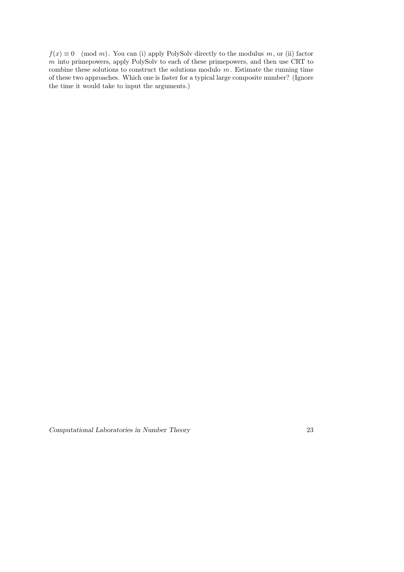$f(x) \equiv 0 \pmod{m}$ . You can (i) apply PolySolv directly to the modulus m, or (ii) factor m into primepowers, apply PolySolv to each of these primepowers, and then use CRT to combine these solutions to construct the solutions modulo  $m$ . Estimate the running time of these two approaches. Which one is faster for a typical large composite number? (Ignore the time it would take to input the arguments.)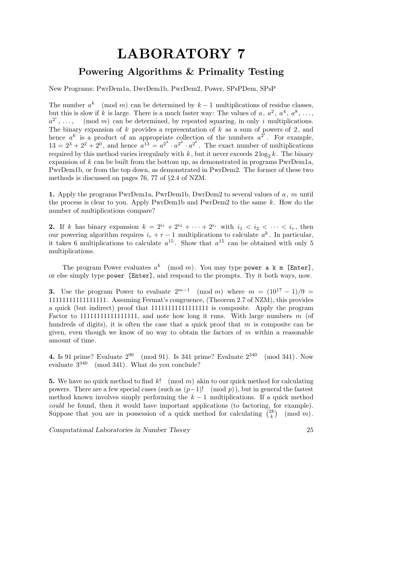## LABORATORY 7

### Powering Algorithms & Primality Testing

New Programs: PwrDem1a, DwrDem1b, PwrDem2, Power, SPsPDem, SPsP

The number  $a^k \pmod{m}$  can be determined by  $k-1$  multiplications of residue classes, but this is slow if k is large. There is a much faster way: The values of a,  $a^2$ ,  $a^4$ ,  $a^8$ , ...,  $a^{2^i}, \ldots, \quad \text{(mod } m\text{)}$  can be determined, by repeated squaring, in only i multiplications. The binary expansion of k provides a representation of  $k$  as a sum of powers of 2, and hence  $a^k$  is a product of an appropriate collection of the numbers  $a^{2^i}$ . For example,  $13 = 2^3 + 2^2 + 2^0$ , and hence  $a^{13} = a^{2^3} \cdot a^{2^2} \cdot a^{2^0}$ . The exact number of multiplications required by this method varies irregularly with  $k$ , but it never exceeds  $2\log_2 k$ . The binary expansion of  $k$  can be built from the bottom up, as demonstrated in programs PwrDem1a, PwrDem1b, or from the top down, as demonstrated in PwrDem2. The former of these two methods is discussed on pages 76, 77 of §2.4 of NZM.

1. Apply the programs PwrDem1a, PwrDem1b, DwrDem2 to several values of a, m until the process is clear to you. Apply PwrDem1b and PwrDem2 to the same  $k$ . How do the number of multiplications compare?

2. If k has binary expansion  $k = 2^{i_1} + 2^{i_2} + \cdots + 2^{i_r}$  with  $i_1 < i_2 < \cdots < i_r$ , then our powering algorithm requires  $i_r + r - 1$  multiplications to calculate  $a^k$ . In particular, it takes 6 multiplications to calculate  $a^{15}$ . Show that  $a^{15}$  can be obtained with only 5 multiplications.

The program Power evaluates  $a^k \pmod{m}$ . You may type power a k m [Enter], or else simply type power [Enter], and respond to the prompts. Try it both ways, now.

3. Use the program Power to evaluate  $2^{m-1} \pmod{m}$  where  $m = (10^{17} - 1)/9 =$ 11111111111111111. Assuming Fermat's congruence, (Theorem 2.7 of NZM), this provides a quick (but indirect) proof that 11111111111111111 is composite. Apply the program Factor to 1111111111111111111111, and note how long it runs. With large numbers  $m$  (of hundreds of digits), it is often the case that a quick proof that  $m$  is composite can be given, even though we know of no way to obtain the factors of  $m$  within a reasonable amount of time.

**4.** Is 91 prime? Evaluate  $2^{90} \pmod{91}$ . Is 341 prime? Evaluate  $2^{340} \pmod{341}$ . Now evaluate 3<sup>340</sup> (mod 341). What do you conclude?

5. We have no quick method to find  $k! \pmod{m}$  akin to our quick method for calculating powers. There are a few special cases (such as  $(p-1)! \pmod{p}$ ), but in general the fastest method known involves simply performing the  $k-1$  multiplications. If a quick method could be found, then it would have important applications (to factoring, for example). Suppose that you are in possession of a quick method for calculating  $\binom{2k}{k}$  ${k \choose k} \pmod{m}.$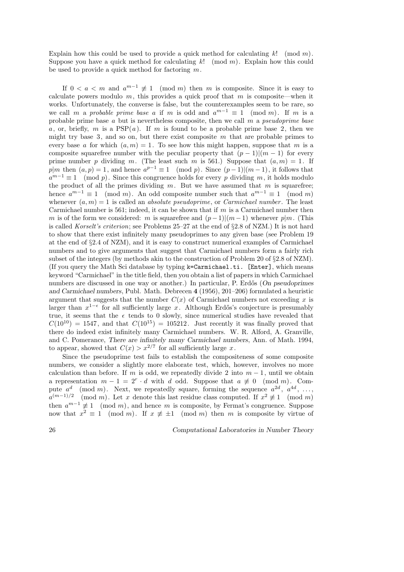Explain how this could be used to provide a quick method for calculating  $k! \pmod{m}$ . Suppose you have a quick method for calculating  $k! \pmod{m}$ . Explain how this could be used to provide a quick method for factoring m.

If  $0 < a < m$  and  $a^{m-1} \not\equiv 1 \pmod{m}$  then m is composite. Since it is easy to calculate powers modulo  $m$ , this provides a quick proof that  $m$  is composite—when it works. Unfortunately, the converse is false, but the counterexamples seem to be rare, so we call m a probable prime base a if m is odd and  $a^{m-1} \equiv 1 \pmod{m}$ . If m is a probable prime base  $a$  but is nevertheless composite, then we call  $m$  a pseudoprime base a, or, briefly, m is a  $PSP(a)$ . If m is found to be a probable prime base 2, then we might try base 3, and so on, but there exist composite  $m$  that are probable primes to every base a for which  $(a, m) = 1$ . To see how this might happen, suppose that m is a composite squarefree number with the peculiar property that  $(p-1)|(m-1)$  for every prime number p dividing m. (The least such m is 561.) Suppose that  $(a, m) = 1$ . If  $p|m$  then  $(a, p) = 1$ , and hence  $a^{p-1} \equiv 1 \pmod{p}$ . Since  $(p-1)|(m-1)$ , it follows that  $a^{m-1} \equiv 1 \pmod{p}$ . Since this congruence holds for every p dividing m, it holds modulo the product of all the primes dividing  $m$ . But we have assumed that  $m$  is squarefree; hence  $a^{m-1} \equiv 1 \pmod{m}$ . An odd composite number such that  $a^{m-1} \equiv 1 \pmod{m}$ whenever  $(a, m) = 1$  is called an *absolute pseudoprime*, or *Carmichael number*. The least Carmichael number is 561; indeed, it can be shown that if  $m$  is a Carmichael number then m is of the form we considered: m is squarefree and  $(p-1)|(m-1)$  whenever  $p|m$ . (This is called Korselt's criterion; see Problems 25–27 at the end of §2.8 of NZM.) It is not hard to show that there exist infinitely many pseudoprimes to any given base (see Problem 19 at the end of §2.4 of NZM), and it is easy to construct numerical examples of Carmichael numbers and to give arguments that suggest that Carmichael numbers form a fairly rich subset of the integers (by methods akin to the construction of Problem 20 of §2.8 of NZM). (If you query the Math Sci database by typing k=Carmichael.ti. [Enter], which means keyword "Carmichael" in the title field, then you obtain a list of papers in which Carmichael numbers are discussed in one way or another.) In particular, P. Erdős (On pseudoprimes and Carmichael numbers, Publ. Math. Debrecen 4 (1956), 201–206) formulated a heuristic argument that suggests that the number  $C(x)$  of Carmichael numbers not exceeding x is larger than  $x^{1-\epsilon}$  for all sufficiently large x. Although Erdős's conjecture is presumably true, it seems that the  $\epsilon$  tends to 0 slowly, since numerical studies have revealed that  $C(10^{10}) = 1547$ , and that  $C(10^{15}) = 105212$ . Just recently it was finally proved that there do indeed exist infinitely many Carmichael numbers. W. R. Alford, A. Granville, and C. Pomerance, There are infinitely many Carmichael numbers, Ann. of Math. 1994, to appear, showed that  $C(x) > x^{2/7}$  for all sufficiently large x.

Since the pseudoprime test fails to establish the compositeness of some composite numbers, we consider a slightly more elaborate test, which, however, involves no more calculation than before. If m is odd, we repeatedly divide 2 into  $m-1$ , until we obtain a representation  $m-1 = 2^r \cdot d$  with d odd. Suppose that  $a \not\equiv 0 \pmod{m}$ . Compute  $a^d \pmod{m}$ . Next, we repeatedly square, forming the sequence  $a^{2d}, a^{4d}, \ldots$  $a^{(m-1)/2} \pmod{m}$ . Let x denote this last residue class computed. If  $x^2 \not\equiv 1 \pmod{m}$ then  $a^{m-1} \not\equiv 1 \pmod{m}$ , and hence m is composite, by Fermat's congruence. Suppose now that  $x^2 \equiv 1 \pmod{m}$ . If  $x \not\equiv \pm 1 \pmod{m}$  then m is composite by virtue of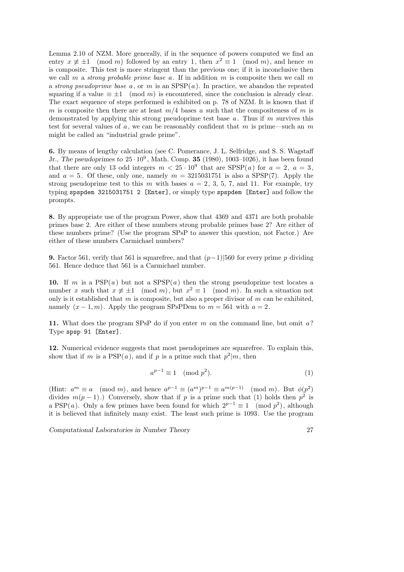Lemma 2.10 of NZM. More generally, if in the sequence of powers computed we find an entry  $x \not\equiv \pm 1 \pmod{m}$  followed by an entry 1, then  $x^2 \equiv 1 \pmod{m}$ , and hence m is composite. This test is more stringent than the previous one; if it is inconclusive then we call m a strong probable prime base a. If in addition m is composite then we call m a strong pseudoprime base a, or m is an  $SPSP(a)$ . In practice, we abandon the repeated squaring if a value  $\equiv \pm 1 \pmod{m}$  is encountered, since the conclusion is already clear. The exact sequence of steps performed is exhibited on p. 78 of NZM. It is known that if m is composite then there are at least  $m/4$  bases a such that the compositeness of m is demonstrated by applying this strong pseudoprime test base  $a$ . Thus if  $m$  survives this test for several values of a, we can be reasonably confident that m is prime—such an  $m$ might be called an "industrial grade prime".

6. By means of lengthy calculation (see C. Pomerance, J. L. Selfridge, and S. S. Wagstaff Jr., The pseudoprimes to  $25 \cdot 10^9$ , Math. Comp. **35** (1980), 1003–1026), it has been found that there are only 13 odd integers  $m < 25 \cdot 10^9$  that are SPSP(*a*) for  $a = 2, a = 3$ , and  $a = 5$ . Of these, only one, namely  $m = 3215031751$  is also a SPSP(7). Apply the strong pseudoprime test to this m with bases  $a = 2, 3, 5, 7$ , and 11. For example, try typing spspdem 3215031751 2 [Enter], or simply type spspdem [Enter] and follow the prompts.

8. By appropriate use of the program Power, show that 4369 and 4371 are both probable primes base 2. Are either of these numbers strong probable primes base 2? Are either of these numbers prime? (Use the program SPsP to answer this question, not Factor.) Are either of these numbers Carmichael numbers?

9. Factor 561, verify that 561 is squarefree, and that  $(p-1)|560$  for every prime p dividing 561. Hence deduce that 561 is a Carmichael number.

10. If m is a  $PSP(a)$  but not a  $SPSP(a)$  then the strong pseudoprime test locates a number x such that  $x \not\equiv \pm 1 \pmod{m}$ , but  $x^2 \equiv 1 \pmod{m}$ . In such a situation not only is it established that  $m$  is composite, but also a proper divisor of  $m$  can be exhibited, namely  $(x-1, m)$ . Apply the program SPsPDem to  $m = 561$  with  $a = 2$ .

11. What does the program SPsP do if you enter m on the command line, but omit  $a$ ? Type spsp 91 [Enter].

12. Numerical evidence suggests that most pseudoprimes are squarefree. To explain this, show that if m is a  $PSP(a)$ , and if p is a prime such that  $p^2|m$ , then

$$
a^{p-1} \equiv 1 \pmod{p^2}.
$$
 (1)

(Hint:  $a^m \equiv a \pmod{m}$ , and hence  $a^{p-1} \equiv (a^m)^{p-1} \equiv a^{m(p-1)} \pmod{m}$ . But  $\phi(p^2)$ divides  $m(p-1)$ .) Conversely, show that if p is a prime such that (1) holds then  $p^2$  is a PSP(a). Only a few primes have been found for which  $2^{p-1} \equiv 1 \pmod{p^2}$ , although it is believed that infinitely many exist. The least such prime is 1093. Use the program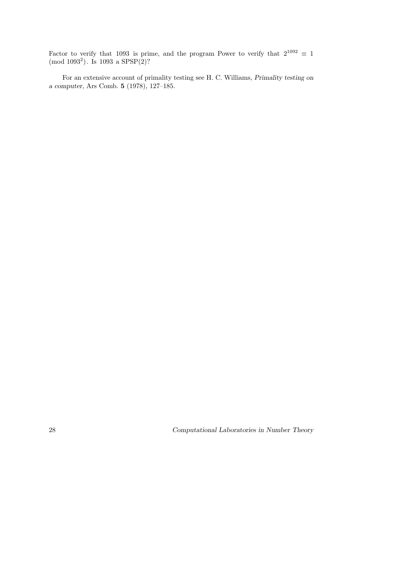Factor to verify that 1093 is prime, and the program Power to verify that  $2^{1092} \equiv 1$  $\pmod{1093^2}$ . Is 1093 a SPSP $(2)$ ?

For an extensive account of primality testing see H. C. Williams, Primality testing on a computer, Ars Comb. 5 (1978), 127–185.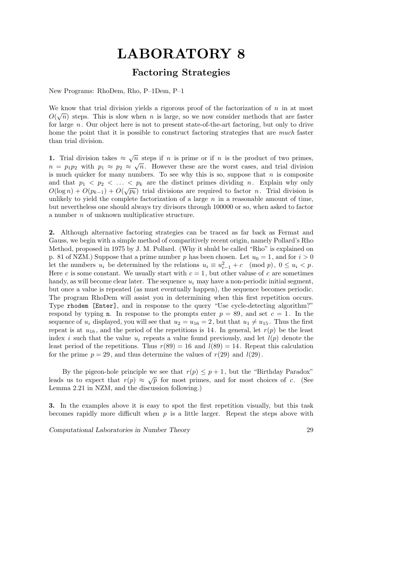## LABORATORY 8

### Factoring Strategies

New Programs: RhoDem, Rho, P–1Dem, P–1

We know that trial division yields a rigorous proof of the factorization of n in at most  $O(\sqrt{n})$  steps. This is slow when n is large, so we now consider methods that are faster for large n. Our object here is not to present state-of-the-art factoring, but only to drive home the point that it is possible to construct factoring strategies that are *much* faster than trial division.

1. Trial division takes  $\approx$  $\overline{n}$  steps if n is prime or if n is the product of two primes,  $n = p_1 p_2$  with  $p_1 \approx p_2 \approx \sqrt{n}$ . However these are the worst cases, and trial division is much quicker for many numbers. To see why this is so, suppose that  $n$  is composite and that  $p_1 < p_2 < \ldots < p_k$  are the distinct primes dividing n. Explain why only and that  $p_1 < p_2 < \ldots < p_k$  are the distinct primes dividing n. Explain why only  $O(\log n) + O(p_{k-1}) + O(\sqrt{p_k})$  trial divisions are required to factor n. Trial division is unlikely to yield the complete factorization of a large  $n$  in a reasonable amount of time, but nevertheless one should always try divisors through 100000 or so, when asked to factor a number n of unknown multiplicative structure.

2. Although alternative factoring strategies can be traced as far back as Fermat and Gauss, we begin with a simple method of comparitively recent origin, namely Pollard's Rho Method, proposed in 1975 by J. M. Pollard. (Why it shuld be called "Rho" is explained on p. 81 of NZM.) Suppose that a prime number p has been chosen. Let  $u_0 = 1$ , and for  $i > 0$ let the numbers  $u_i$  be determined by the relations  $u_i \equiv u_{i-1}^2 + c \pmod{p}$ ,  $0 \le u_i < p$ . Here c is some constant. We usually start with  $c = 1$ , but other valuse of c are sometimes handy, as will become clear later. The sequence  $u_i$  may have a non-periodic initial segment, but once a value is repeated (as must eventually happen), the sequence becomes periodic. The program RhoDem will assist you in determining when this first repetition occurs. Type rhodem [Enter], and in response to the query "Use cycle-detecting algorithm?" respond by typing n. In response to the prompts enter  $p = 89$ , and set  $c = 1$ . In the sequence of  $u_i$  displayed, you will see that  $u_2 = u_{16} = 2$ , but that  $u_1 \neq u_{15}$ . Thus the first repeat is at  $u_{16}$ , and the period of the repetitions is 14. In general, let  $r(p)$  be the least index i such that the value  $u_i$  repeats a value found previously, and let  $l(p)$  denote the least period of the repetitions. Thus  $r(89) = 16$  and  $l(89) = 14$ . Repeat this calculation for the prime  $p = 29$ , and thus determine the values of  $r(29)$  and  $l(29)$ .

By the pigeon-hole principle we see that  $r(p) \leq p+1$ , but the "Birthday Paradox" By the pigeon-noise principle we see that  $r(p) \leq p+1$ , but the "Birthday Paradox"<br>leads us to expect that  $r(p) \approx \sqrt{p}$  for most primes, and for most choices of c. (See Lemma 2.21 in NZM, and the discussion following.)

3. In the examples above it is easy to spot the first repetition visually, but this task becomes rapidly more difficult when  $p$  is a little larger. Repeat the steps above with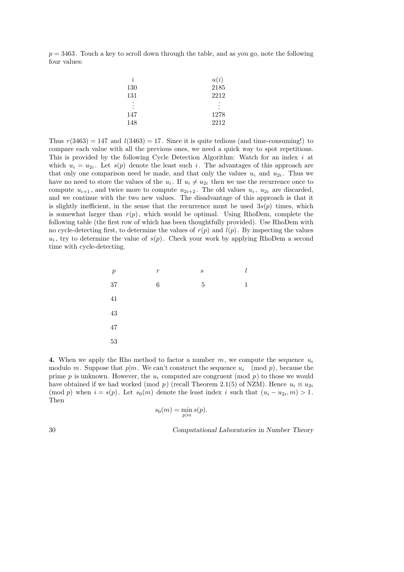$p = 3463$ . Touch a key to scroll down through the table, and as you go, note the following four values:

| $\it i$                     | u(i)           |
|-----------------------------|----------------|
| 130                         | 2185           |
| 131                         | 2212           |
| $\bullet$<br>$\bullet$<br>٠ | $\bullet$<br>٠ |
| 147                         | 1278           |
| 148                         | 2212           |

Thus  $r(3463) = 147$  and  $l(3463) = 17$ . Since it is quite tedious (and time-consuming!) to compare each value with all the previous ones, we need a quick way to spot repetitions. This is provided by the following Cycle Detection Algorithm: Watch for an index i at which  $u_i = u_{2i}$ . Let  $s(p)$  denote the least such i. The advantages of this approach are that only one comparison need be made, and that only the values  $u_i$  and  $u_{2i}$ . Thus we have no need to store the values of the  $u_i$ . If  $u_i \neq u_{2i}$  then we use the recurrence once to compute  $u_{i+1}$ , and twice more to compute  $u_{2i+2}$ . The old values  $u_i$ ,  $u_{2i}$  are discarded, and we continue with the two new values. The disadvantage of this approach is that it is slightly inefficient, in the sense that the recurrence must be used  $3s(p)$  times, which is somewhat larger than  $r(p)$ , which would be optimal. Using RhoDem, complete the following table (the first row of which has been thoughtfully provided). Use RhoDem with no cycle-detecting first, to determine the values of  $r(p)$  and  $l(p)$ . By inspecting the values  $u_i$ , try to determine the value of  $s(p)$ . Check your work by applying RhoDem a second time with cycle-detecting.

| $\boldsymbol{p}$ | $\boldsymbol{r}$ | $\boldsymbol{s}$ | l            |
|------------------|------------------|------------------|--------------|
| 37               | $\boldsymbol{6}$ | $\bf 5$          | $\mathbf{1}$ |
| 41               |                  |                  |              |
| $43\,$           |                  |                  |              |
| 47               |                  |                  |              |
| $53\,$           |                  |                  |              |

4. When we apply the Rho method to factor a number  $m$ , we compute the sequence  $u_i$ modulo m. Suppose that  $p|m$ . We can't construct the sequence  $u_i \pmod{p}$ , because the prime p is unknown. However, the  $u_i$  computed are congruent (mod p) to those we would have obtained if we had worked (mod p) (recall Theorem 2.1(5) of NZM). Hence  $u_i \equiv u_{2i}$ (mod p) when  $i = s(p)$ . Let  $s_0(m)$  denote the least index i such that  $(u_i - u_{2i}, m) > 1$ . Then

$$
s_0(m) = \min_{p|m} s(p).
$$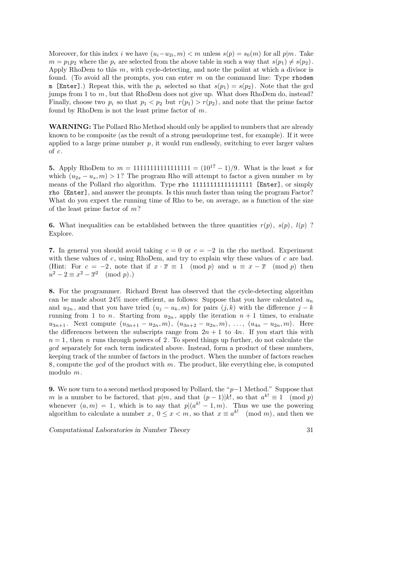Moreover, for this index i we have  $(u_i - u_{2i}, m) < m$  unless  $s(p) = s_0(m)$  for all  $p|m$ . Take  $m = p_1p_2$  where the  $p_i$  are selected from the above table in such a way that  $s(p_1) \neq s(p_2)$ . Apply RhoDem to this  $m$ , with cycle-detecting, and note the point at which a divisor is found. (To avoid all the prompts, you can enter  $m$  on the command line: Type rhodem **m** [Enter].) Repeat this, with the  $p_i$  selected so that  $s(p_1) = s(p_2)$ . Note that the gcd jumps from 1 to m, but that RhoDem does not give up. What does RhoDem do, instead? Finally, choose two  $p_i$  so that  $p_1 < p_2$  but  $r(p_1) > r(p_2)$ , and note that the prime factor found by RhoDem is not the least prime factor of  $m$ .

WARNING: The Pollard Rho Method should only be applied to numbers that are already known to be composite (as the result of a strong pseudoprime test, for example). If it were applied to a large prime number  $p$ , it would run endlessly, switching to ever larger values of c.

5. Apply RhoDem to  $m = 1111111111111111 = (10^{17} - 1)/9$ . What is the least s for which  $(u_{2s} - u_s, m) > 1$ ? The program Rho will attempt to factor a given number m by means of the Pollard rho algorithm. Type rho 11111111111111111 [Enter], or simply rho [Enter], and answer the prompts. Is this much faster than using the program Factor? What do you expect the running time of Rho to be, on average, as a function of the size of the least prime factor of  $m$ ?

6. What inequalities can be established between the three quantities  $r(p)$ ,  $s(p)$ ,  $l(p)$ ? Explore.

7. In general you should avoid taking  $c = 0$  or  $c = -2$  in the rho method. Experiment with these values of  $c$ , using RhoDem, and try to explain why these values of  $c$  are bad. (Hint: For  $c = -2$ , note that if  $x \cdot \overline{x} \equiv 1 \pmod{p}$  and  $u \equiv x - \overline{x} \pmod{p}$  then  $u^2 - 2 \equiv x^2 - \overline{x}^2 \pmod{p}$ .

8. For the programmer. Richard Brent has observed that the cycle-detecting algorithm can be made about 24% more efficient, as follows: Suppose that you have calculated  $u_n$ and  $u_{2n}$ , and that you have tried  $(u_i - u_k, m)$  for pairs  $(j, k)$  with the difference  $j - k$ running from 1 to n. Starting from  $u_{2n}$ , apply the iteration  $n + 1$  times, to evaluate  $u_{3n+1}$ . Next compute  $(u_{3n+1}-u_{2n},m), (u_{3n+2}-u_{2n},m), \ldots, (u_{4n}-u_{2n},m)$ . Here the differences between the subscripts range from  $2n + 1$  to  $4n$ . If you start this with  $n = 1$ , then n runs through powers of 2. To speed things up further, do not calculate the gcd separately for each term indicated above. Instead, form a product of these numbers, keeping track of the number of factors in the product. When the number of factors reaches 8, compute the  $gcd$  of the product with m. The product, like everything else, is computed modulo m.

9. We now turn to a second method proposed by Pollard, the "p−1 Method." Suppose that m is a number to be factored, that  $p|m$ , and that  $(p-1)|k|$ , so that  $a^{k!} \equiv 1 \pmod{p}$ whenever  $(a, m) = 1$ , which is to say that  $p|(a^{k!} - 1, m)$ . Thus we use the powering algorithm to calculate a number x,  $0 \leq x < m$ , so that  $x \equiv a^{k!} \pmod{m}$ , and then we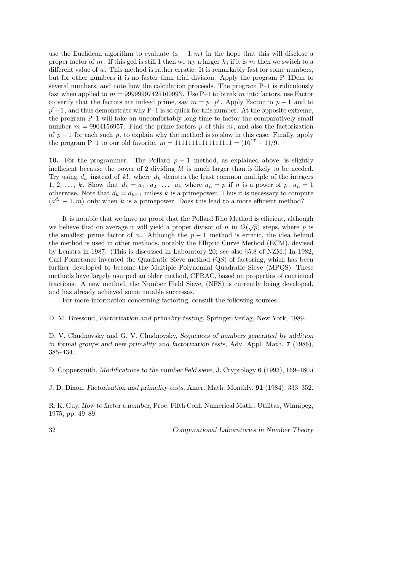use the Euclidean algorithm to evaluate  $(x - 1, m)$  in the hope that this will disclose a proper factor of m. If this gcd is still 1 then we try a larger  $k$ ; if it is m then we switch to a different value of a. This method is rather erratic: It is remarkably fast for some numbers, but for other numbers it is no faster than trial division. Apply the program P–1Dem to several numbers, and note how the calculation proceeds. The program P–1 is ridiculously fast when applied to  $m = 99999997425160993$ . Use P-1 to break m into factors, use Factor to verify that the factors are indeed prime, say  $m = p \cdot p'$ . Apply Factor to  $p - 1$  and to  $p'-1$ , and thus demonstrate why P–1 is so quick for this number. At the opposite extreme, the program P–1 will take an uncomfortably long time to factor the comparatively small number  $m = 9904156957$ . Find the prime factors p of this m, and also the factorization of  $p-1$  for each such p, to explain why the method is so slow in this case. Finally, apply the program P–1 to our old favorite,  $m = 1111111111111111 = (10^{17} - 1)/9$ .

10. For the programmer. The Pollard  $p-1$  method, as explained above, is slightly inefficient because the power of 2 dividing  $k!$  is much larger than is likely to be needed. Try using  $d_k$  instead of k!, where  $d_k$  denotes the least common multiple of the integers 1, 2, ..., k. Show that  $d_k = a_1 \cdot a_2 \cdot \ldots \cdot a_k$  where  $a_n = p$  if n is a power of p,  $a_n = 1$ otherwise. Note that  $d_k = d_{k-1}$  unless k is a primepower. Thus it is necessary to compute  $(a^{d_k}-1,m)$  only when k is a primepower. Does this lead to a more efficient method?

It is notable that we have no proof that the Pollard Rho Method is efficient, although It is notable that we have no proof that the Pollard Rho Method is emclent, although<br>we believe that on average it will yield a proper divisor of n in  $O(\sqrt{p})$  steps, where p is the smallest prime factor of n. Although the  $p-1$  method is erratic, the idea behind the method is used in other methods, notably the Elliptic Curve Method (ECM), devised by Lenstra in 1987. (This is discussed in Laboratory 20; see also §5.8 of NZM.) In 1982, Carl Pomerance invented the Quadratic Sieve method (QS) of factoring, which has been further developed to become the Multiple Polynomial Quadratic Sieve (MPQS). These methods have largely usurped an older method, CFRAC, based on properties of continued fractions. A new method, the Number Field Sieve, (NFS) is currently being developed, and has already achieved some notable successes.

For more information concerning factoring, consult the following sources.

D. M. Bressoud, Factorization and primality testing, Springer-Verlag, New York, 1989.

D. V. Chudnovsky and G. V. Chudnovsky, Sequences of numbers generated by addition in formal groups and new primality and factorization tests, Adv. Appl. Math. 7 (1986), 385–434.

D. Coppersmith, Modifications to the number field sieve, J. Cryptology 6 (1993), 169–180.i

J. D. Dixon, Factorization and primality tests, Amer. Math. Monthly. 91 (1984), 333–352.

R. K. Guy, How to factor a number, Proc. Fifth Conf. Numerical Math., Utilitas, Winnipeg, 1975, pp. 49–89.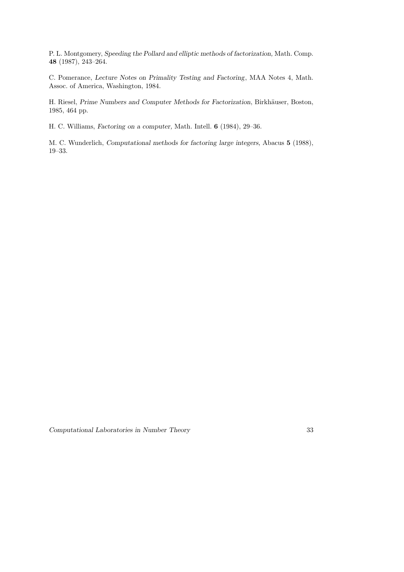P. L. Montgomery, Speeding the Pollard and elliptic methods of factorization, Math. Comp. 48 (1987), 243–264.

C. Pomerance, Lecture Notes on Primality Testing and Factoring, MAA Notes 4, Math. Assoc. of America, Washington, 1984.

H. Riesel, Prime Numbers and Computer Methods for Factorization, Birkhäuser, Boston, 1985, 464 pp.

H. C. Williams, Factoring on a computer, Math. Intell. 6 (1984), 29–36.

M. C. Wunderlich, Computational methods for factoring large integers, Abacus 5 (1988), 19–33.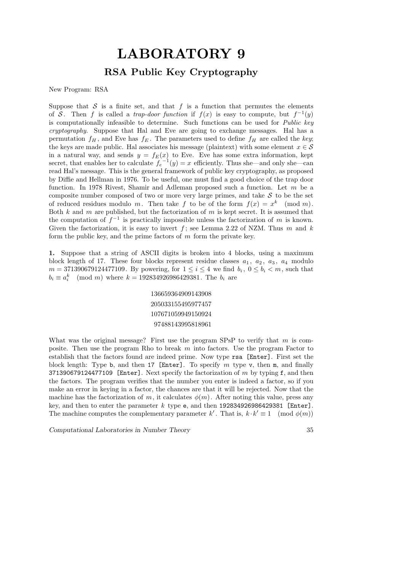# LABORATORY 9 RSA Public Key Cryptography

New Program: RSA

Suppose that  $S$  is a finite set, and that f is a function that permutes the elements of S. Then f is called a trap-door function if  $f(x)$  is easy to compute, but  $f^{-1}(y)$ is computationally infeasible to determine. Such functions can be used for Public key cryptography. Suppose that Hal and Eve are going to exchange messages. Hal has a permutation  $f_H$ , and Eve has  $f_E$ . The parameters used to define  $f_H$  are called the key; the keys are made public. Hal associates his message (plaintext) with some element  $x \in \mathcal{S}$ in a natural way, and sends  $y = f_E(x)$  to Eve. Eve has some extra information, kept secret, that enables her to calculate  $f_e^{-1}(y) = x$  efficiently. Thus she—and only she—can read Hal's message. This is the general framework of public key cryptography, as proposed by Diffie and Hellman in 1976. To be useful, one must find a good choice of the trap door function. In 1978 Rivest, Shamir and Adleman proposed such a function. Let m be a composite number composed of two or more very large primes, and take  $S$  to be the set of reduced residues modulo m. Then take f to be of the form  $f(x) = x^k \pmod{m}$ . Both  $k$  and  $m$  are published, but the factorization of  $m$  is kept secret. It is assumed that the computation of  $f^{-1}$  is practically impossible unless the factorization of m is known. Given the factorization, it is easy to invert f; see Lemma 2.22 of NZM. Thus m and k form the public key, and the prime factors of  $m$  form the private key.

1. Suppose that a string of ASCII digits is broken into 4 blocks, using a maximum block length of 17. These four blocks represent residue classes  $a_1, a_2, a_3, a_4$  modulo  $m = 371390679124477109$ . By powering, for  $1 \leq i \leq 4$  we find  $b_i$ ,  $0 \leq b_i \leq m$ , such that  $b_i \equiv a_i^k \pmod{m}$  where  $k = 192834926986429381$ . The  $b_i$  are

> 136659364909143908 205033155495977457 107671059949150924 97488143995818961

What was the original message? First use the program  $SPsP$  to verify that m is composite. Then use the program Rho to break m into factors. Use the program Factor to establish that the factors found are indeed prime. Now type rsa [Enter]. First set the block length: Type b, and then 17 [Enter]. To specify  $m$  type v, then  $m$ , and finally 371390679124477109 [Enter]. Next specify the factorization of m by typing  $f$ , and then the factors. The program verifies that the number you enter is indeed a factor, so if you make an error in keying in a factor, the chances are that it will be rejected. Now that the machine has the factorization of m, it calculates  $\phi(m)$ . After noting this value, press any key, and then to enter the parameter k type e, and then  $192834926986429381$  [Enter]. The machine computes the complementary parameter k'. That is,  $k \cdot k' \equiv 1 \pmod{\phi(m)}$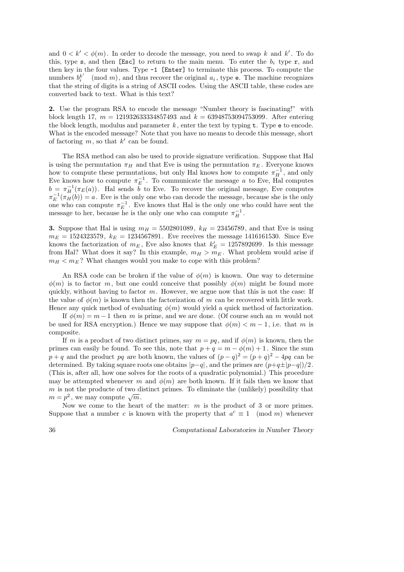and  $0 < k' < \phi(m)$ . In order to decode the message, you need to swap k and k'. To do this, type s, and then [Esc] to return to the main menu. To enter the  $b_i$  type r, and then key in the four values. Type -1 [Enter] to terminate this process. To compute the numbers  $b_i^{k'}$  $i$ <sup>k</sup> (mod *m*), and thus recover the original  $a_i$ , type **e**. The machine recognizes that the string of digits is a string of ASCII codes. Using the ASCII table, these codes are converted back to text. What is this text?

2. Use the program RSA to encode the message "Number theory is fascinating!" with block length 17,  $m = 121932633334857493$  and  $k = 63948753094753099$ . After entering the block length, modulus and parameter  $k$ , enter the text by typing  $t$ . Type  $e$  to encode. What is the encoded message? Note that you have no means to decode this message, short of factoring  $m$ , so that  $k'$  can be found.

The RSA method can also be used to provide signature verification. Suppose that Hal is using the permutation  $\pi_H$  and that Eve is using the permutation  $\pi_E$ . Everyone knows how to compute these permutations, but only Hal knows how to compute  $\pi_H^{-1}$ , and only Eve knows how to compute  $\pi_E^{-1}$  $E^{-1}$ . To communicate the message a to Eve, Hal computes  $b = \pi_H^{-1}(\pi_E(a))$ . Hal sends b to Eve. To recover the original message, Eve computes  $\pi_E^{-1}$  $E^{-1}(\pi_H(b)) = a$ . Eve is the only one who can decode the message, because she is the only one who can compute  $\pi_E^{-1}$  $E^{-1}$ . Eve knows that Hal is the only one who could have sent the message to her, because he is the only one who can compute  $\pi_H^{-1}$ .

3. Suppose that Hal is using  $m_H = 5502801089$ ,  $k_H = 23456789$ , and that Eve is using  $m_E = 1524323579, k_E = 1234567891$ . Eve receives the message 1416161530. Since Eve knows the factorization of  $m_E$ , Eve also knows that  $k'_E = 1257892699$ . Is this message from Hal? What does it say? In this example,  $m_H > m_E$ . What problem would arise if  $m_H < m_E$ ? What changes would you make to cope with this problem?

An RSA code can be broken if the value of  $\phi(m)$  is known. One way to determine  $\phi(m)$  is to factor m, but one could conceive that possibly  $\phi(m)$  might be found more quickly, without having to factor  $m$ . However, we argue now that this is not the case: If the value of  $\phi(m)$  is known then the factorization of m can be recovered with little work. Hence any quick method of evaluating  $\phi(m)$  would yield a quick method of factorization.

If  $\phi(m) = m - 1$  then m is prime, and we are done. (Of course such an m would not be used for RSA encryption.) Hence we may suppose that  $\phi(m) < m-1$ , i.e. that m is composite.

If m is a product of two distinct primes, say  $m = pq$ , and if  $\phi(m)$  is known, then the primes can easily be found. To see this, note that  $p + q = m - \phi(m) + 1$ . Since the sum  $p + q$  and the product pq are both known, the values of  $(p - q)^2 = (p + q)^2 - 4pq$  can be determined. By taking square roots one obtains  $|p-q|$ , and the primes are  $(p+q\pm|p-q|)/2$ . (This is, after all, how one solves for the roots of a quadratic polynomial.) This procedure may be attempted whenever m and  $\phi(m)$  are both known. If it fails then we know that  $m$  is not the producte of two distinct primes. To eliminate the (unlikely) possibility that m is not the producte of two d<br>  $m = p^2$ , we may compute  $\sqrt{m}$ .

Now we come to the heart of the matter:  $m$  is the product of 3 or more primes. Suppose that a number c is known with the property that  $a^c \equiv 1 \pmod{m}$  whenever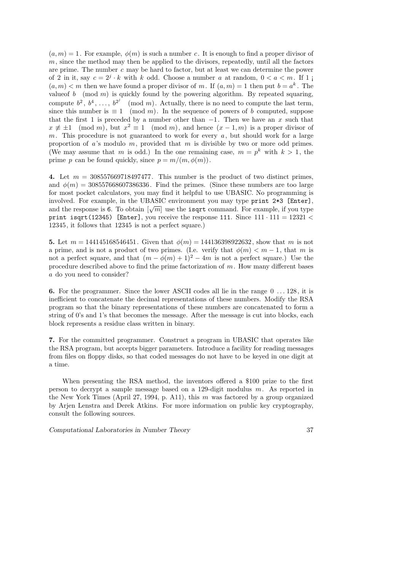$(a, m) = 1$ . For example,  $\phi(m)$  is such a number c. It is enough to find a proper divisor of  $m$ , since the method may then be applied to the divisors, repeatedly, until all the factors are prime. The number  $c$  may be hard to factor, but at least we can determine the power of 2 in it, say  $c = 2^j \cdot k$  with k odd. Choose a number a at random,  $0 < a < m$ . If 1;  $(a, m) < m$  then we have found a proper divisor of m. If  $(a, m) = 1$  then put  $b = a<sup>k</sup>$ . The value of b (mod m) is quickly found by the powering algorithm. By repeated squaring, compute  $b^2, b^4, \ldots, b^{2^j} \pmod{m}$ . Actually, there is no need to compute the last term, since this number is  $\equiv 1 \pmod{m}$ . In the sequence of powers of b computed, suppose that the first 1 is preceded by a number other than  $-1$ . Then we have an x such that  $x \not\equiv \pm 1 \pmod{m}$ , but  $x^2 \equiv 1 \pmod{m}$ , and hence  $(x-1,m)$  is a proper divisor of m. This procedure is not guaranteed to work for every  $a$ , but should work for a large proportion of a's modulo m, provided that m is divisible by two or more odd primes. (We may assume that m is odd.) In the one remaining case,  $m = p^k$  with  $k > 1$ , the prime p can be found quickly, since  $p = m/(m, \phi(m))$ .

4. Let  $m = 308557669718497477$ . This number is the product of two distinct primes, and  $\phi(m) = 308557668607386336$ . Find the primes. (Since these numbers are too large for most pocket calculators, you may find it helpful to use UBASIC. No programming is involved. For example, in the UBASIC environment you may type print 2\*3 [Enter], mvolved. For example, in the UBASIC environment you may type  $\texttt{print 2*3}$  [Enter], and the response is 6. To obtain  $[\sqrt{m}]$  use the isqrt command. For example, if you type print isqrt(12345) [Enter], you receive the response 111. Since  $111 \cdot 111 = 12321$  < 12345, it follows that 12345 is not a perfect square.)

5. Let  $m = 144145168546451$ . Given that  $\phi(m) = 144136398922632$ , show that m is not a prime, and is not a product of two primes. (I.e. verify that  $\phi(m) < m-1$ , that m is not a perfect square, and that  $(m - \phi(m) + 1)^2 - 4m$  is not a perfect square.) Use the procedure described above to find the prime factorization of  $m$ . How many different bases a do you need to consider?

6. For the programmer. Since the lower ASCII codes all lie in the range 0 . . . 128, it is inefficient to concatenate the decimal representations of these numbers. Modify the RSA program so that the binary representations of these numbers are concatenated to form a string of 0's and 1's that becomes the message. After the message is cut into blocks, each block represents a residue class written in binary.

7. For the committed programmer. Construct a program in UBASIC that operates like the RSA program, but accepts bigger parameters. Introduce a facility for reading messages from files on floppy disks, so that coded messages do not have to be keyed in one digit at a time.

When presenting the RSA method, the inventors offered a \$100 prize to the first person to decrypt a sample message based on a 129-digit modulus  $m$ . As reported in the New York Times (April 27, 1994, p. A11), this m was factored by a group organized by Arjen Lenstra and Derek Atkins. For more information on public key cryptography, consult the following sources.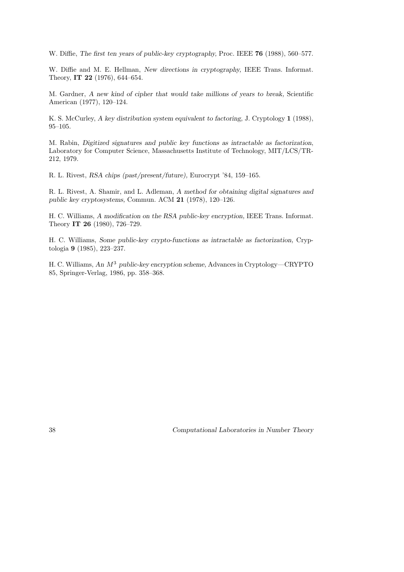W. Diffie, The first ten years of public-key cryptography, Proc. IEEE 76 (1988), 560–577.

W. Diffie and M. E. Hellman, New directions in cryptography, IEEE Trans. Informat. Theory, IT 22 (1976), 644–654.

M. Gardner, A new kind of cipher that would take millions of years to break, Scientific American (1977), 120–124.

K. S. McCurley, A key distribution system equivalent to factoring, J. Cryptology 1 (1988), 95–105.

M. Rabin, Digitized signatures and public key functions as intractable as factorization, Laboratory for Computer Science, Massachusetts Institute of Technology, MIT/LCS/TR-212, 1979.

R. L. Rivest, RSA chips (past/present/future), Eurocrypt '84, 159–165.

R. L. Rivest, A. Shamir, and L. Adleman, A method for obtaining digital signatures and public key cryptosystems, Commun. ACM 21 (1978), 120–126.

H. C. Williams, A modification on the RSA public-key encryption, IEEE Trans. Informat. Theory IT 26 (1980), 726–729.

H. C. Williams, Some public-key crypto-functions as intractable as factorization, Cryptologia 9 (1985), 223–237.

H. C. Williams, An  $M^3$  public-key encryption scheme, Advances in Cryptology—CRYPTO 85, Springer-Verlag, 1986, pp. 358–368.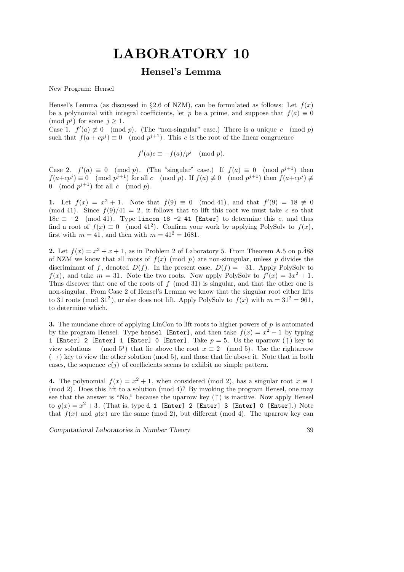## LABORATORY 10

### Hensel's Lemma

New Program: Hensel

Hensel's Lemma (as discussed in §2.6 of NZM), can be formulated as follows: Let  $f(x)$ be a polynomial with integral coefficients, let p be a prime, and suppose that  $f(a) \equiv 0$ (mod  $p^j$ ) for some  $j \ge 1$ .

Case 1.  $f'(a) \not\equiv 0 \pmod{p}$ . (The "non-singular" case.) There is a unique c (mod p) such that  $f(a + cp^j) \equiv 0 \pmod{p^{j+1}}$ . This c is the root of the linear congruence

$$
f'(a)c \equiv -f(a)/p^j \pmod{p}.
$$

Case 2.  $f'(a) \equiv 0 \pmod{p}$ . (The "singular" case.) If  $f(a) \equiv 0 \pmod{p^{j+1}}$  then  $f(a+cp<sup>j</sup>) \equiv 0 \pmod{p^{j+1}}$  for all  $c \pmod{p}$ . If  $f(a) \not\equiv 0 \pmod{p^{j+1}}$  then  $f(a+cp<sup>j</sup>) \not\equiv$ 0 (mod  $p^{j+1}$ ) for all c (mod p).

1. Let  $f(x) = x^2 + 1$ . Note that  $f(9) \equiv 0 \pmod{41}$ , and that  $f'(9) = 18 \not\equiv 0$ (mod 41). Since  $f(9)/41 = 2$ , it follows that to lift this root we must take c so that  $18c \equiv -2 \pmod{41}$ . Type lincon 18 -2 41 [Enter] to determine this c, and thus find a root of  $f(x) \equiv 0 \pmod{41^2}$ . Confirm your work by applying PolySolv to  $f(x)$ , first with  $m = 41$ , and then with  $m = 41^2 = 1681$ .

2. Let  $f(x) = x^3 + x + 1$ , as in Problem 2 of Laboratory 5. From Theorem A.5 on p.488 of NZM we know that all roots of  $f(x)$  (mod p) are non-sinugular, unless p divides the discriminant of f, denoted  $D(f)$ . In the present case,  $D(f) = -31$ . Apply PolySolv to  $f(x)$ , and take  $m = 31$ . Note the two roots. Now apply PolySolv to  $f'(x) = 3x^2 + 1$ . Thus discover that one of the roots of  $f \pmod{31}$  is singular, and that the other one is non-singular. From Case 2 of Hensel's Lemma we know that the singular root either lifts to 31 roots (mod 31<sup>2</sup>), or else does not lift. Apply PolySolv to  $f(x)$  with  $m = 31^2 = 961$ , to determine which.

**3.** The mundane chore of applying LinCon to lift roots to higher powers of  $p$  is automated by the program Hensel. Type hensel [Enter], and then take  $f(x) = x^2 + 1$  by typing 1 [Enter] 2 [Enter] 1 [Enter] 0 [Enter]. Take  $p = 5$ . Us the uparrow  $(\uparrow)$  key to view solutions  $\pmod{5^j}$  that lie above the root  $x \equiv 2 \pmod{5}$ . Use the rightarrow  $(\rightarrow)$  key to view the other solution (mod 5), and those that lie above it. Note that in both cases, the sequence  $c(j)$  of coefficients seems to exhibit no simple pattern.

4. The polynomial  $f(x) = x^2 + 1$ , when considered (mod 2), has a singular root  $x \equiv 1$ (mod 2). Does this lift to a solution (mod 4)? By invoking the program Hensel, one may see that the answer is "No," because the uparrow key  $(\uparrow)$  is inactive. Now apply Hensel to  $g(x) = x^2 + 3$ . (That is, type d 1 [Enter] 2 [Enter] 3 [Enter] 0 [Enter].) Note that  $f(x)$  and  $g(x)$  are the same (mod 2), but different (mod 4). The uparrow key can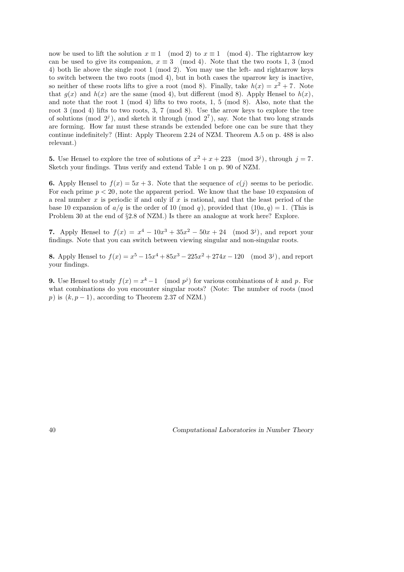now be used to lift the solution  $x \equiv 1 \pmod{2}$  to  $x \equiv 1 \pmod{4}$ . The rightarrow key can be used to give its companion,  $x \equiv 3 \pmod{4}$ . Note that the two roots 1, 3 (mod 4) both lie above the single root 1 (mod 2). You may use the left- and rightarrow keys to switch between the two roots (mod 4), but in both cases the uparrow key is inactive, so neither of these roots lifts to give a root (mod 8). Finally, take  $h(x) = x^2 + 7$ . Note that  $g(x)$  and  $h(x)$  are the same (mod 4), but different (mod 8). Apply Hensel to  $h(x)$ , and note that the root 1 (mod 4) lifts to two roots, 1, 5 (mod 8). Also, note that the root 3 (mod 4) lifts to two roots, 3, 7 (mod 8). Use the arrow keys to explore the tree of solutions (mod  $2^{j}$ ), and sketch it through (mod  $2^{7}$ ), say. Note that two long strands are forming. How far must these strands be extended before one can be sure that they continue indefinitely? (Hint: Apply Theorem 2.24 of NZM. Theorem A.5 on p. 488 is also relevant.)

**5.** Use Hensel to explore the tree of solutions of  $x^2 + x + 223 \pmod{3^j}$ , through  $j = 7$ . Sketch your findings. Thus verify and extend Table 1 on p. 90 of NZM.

**6.** Apply Hensel to  $f(x) = 5x + 3$ . Note that the sequence of  $c(j)$  seems to be periodic. For each prime  $p < 20$ , note the apparent period. We know that the base 10 expansion of a real number x is periodic if and only if x is rational, and that the least period of the base 10 expansion of  $a/q$  is the order of 10 (mod q), provided that  $(10a, q) = 1$ . (This is Problem 30 at the end of §2.8 of NZM.) Is there an analogue at work here? Explore.

7. Apply Hensel to  $f(x) = x^4 - 10x^3 + 35x^2 - 50x + 24 \pmod{3^j}$ , and report your findings. Note that you can switch between viewing singular and non-singular roots.

**8.** Apply Hensel to  $f(x) = x^5 - 15x^4 + 85x^3 - 225x^2 + 274x - 120 \pmod{3^j}$ , and report your findings.

**9.** Use Hensel to study  $f(x) = x^k - 1 \pmod{p^j}$  for various combinations of k and p. For what combinations do you encounter singular roots? (Note: The number of roots (mod p) is  $(k, p-1)$ , according to Theorem 2.37 of NZM.)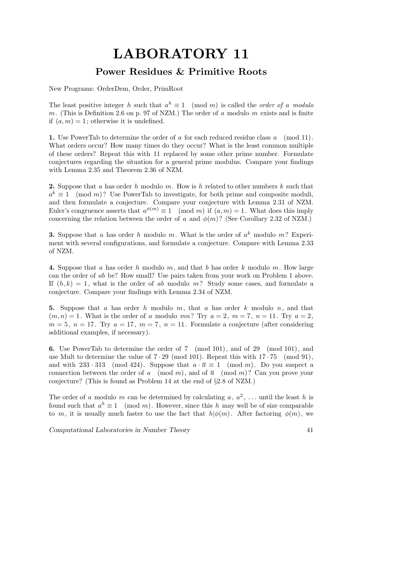### LABORATORY 11

### Power Residues & Primitive Roots

New Programs: OrderDem, Order, PrimRoot

The least positive integer h such that  $a^h \equiv 1 \pmod{m}$  is called the *order of a modulo* m. (This is Definition 2.6 on p. 97 of NZM.) The order of a modulo m exists and is finite if  $(a, m) = 1$ ; otherwise it is undefined.

1. Use PowerTab to determine the order of  $a$  for each reduced residue class  $a \pmod{11}$ . What orders occur? How many times do they occur? What is the least common multiple of these orders? Repeat this with 11 replaced by some other prime number. Formulate conjectures regarding the situation for a general prime modulus. Compare your findings with Lemma 2.35 and Theorem 2.36 of NZM.

**2.** Suppose that a has order h modulo m. How is h related to other numbers  $k$  such that  $a^k \equiv 1 \pmod{m}$ ? Use PowerTab to investigate, for both prime and composite moduli, and then formulate a conjecture. Compare your conjecture with Lemma 2.31 of NZM. Euler's congruence asserts that  $a^{\phi(m)} \equiv 1 \pmod{m}$  if  $(a, m) = 1$ . What does this imply concerning the relation between the order of a and  $\phi(m)$ ? (See Corollary 2.32 of NZM.)

**3.** Suppose that a has order h modulo m. What is the order of  $a^k$  modulo m? Experiment with several configurations, and formulate a conjecture. Compare with Lemma 2.33 of NZM.

4. Suppose that a has order h modulo  $m$ , and that b has order k modulo  $m$ . How large can the order of ab be? How small? Use pairs taken from your work on Problem 1 above. If  $(h, k) = 1$ , what is the order of ab modulo m? Study some cases, and formulate a conjecture. Compare your findings with Lemma 2.34 of NZM.

5. Suppose that a has order h modulo m, that a has order k modulo n, and that  $(m, n) = 1$ . What is the order of a modulo mn? Try  $a = 2$ ,  $m = 7$ ,  $n = 11$ . Try  $a = 2$ ,  $m = 5$ ,  $n = 17$ . Try  $a = 17$ ,  $m = 7$ ,  $n = 11$ . Formulate a conjecture (after considering additional examples, if necessary).

6. Use PowerTab to determine the order of 7 (mod 101), and of 29 (mod 101), and use Mult to determine the value of  $7 \cdot 29 \pmod{101}$ . Repeat this with  $17 \cdot 75 \pmod{91}$ , and with 233 · 313 (mod 424). Suppose that  $a \cdot \overline{a} \equiv 1 \pmod{m}$ . Do you suspect a connection between the order of a (mod m), and of  $\overline{a}$  (mod m)? Can you prove your conjecture? (This is found as Problem 14 at the end of §2.8 of NZM.)

The order of a modulo m can be determined by calculating  $a, a^2, \ldots$  until the least h is found such that  $a^h \equiv 1 \pmod{m}$ . However, since this h may well be of size comparable to m, it is usually much faster to use the fact that  $h|\phi(m)$ . After factoring  $\phi(m)$ , we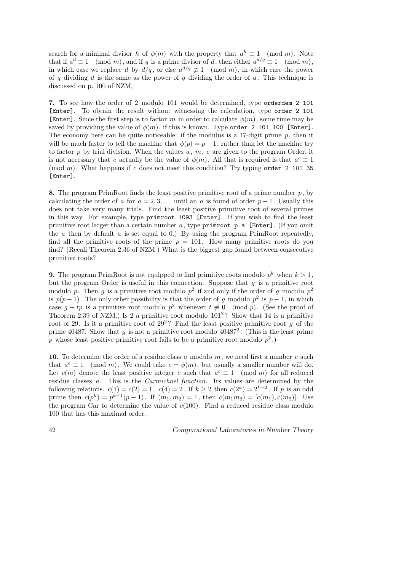search for a minimal divisor h of  $\phi(m)$  with the property that  $a^h \equiv 1 \pmod{m}$ . Note that if  $a^d \equiv 1 \pmod{m}$ , and if q is a prime divisor of d, then either  $a^{d/q} \equiv 1 \pmod{m}$ , in which case we replace d by  $d/q$ , or else  $a^{d/q} \neq 1 \pmod{m}$ , in which case the power of q dividing d is the same as the power of q dividing the order of  $a$ . This technique is discussed on p. 100 of NZM,

7. To see how the order of 2 modulo 101 would be determined, type orderdem 2 101 [Enter]. To obtain the result without witnessing the calculation, type order 2 101 [Enter]. Since the first step is to factor m in order to calculate  $\phi(m)$ , some time may be saved by providing the value of  $\phi(m)$ , if this is known. Type order 2 101 100 [Enter]. The economy here can be quite noticeable: if the modulus is a 17-digit prime  $p$ , then it will be much faster to tell the machine that  $\phi(p) = p - 1$ , rather than let the machine try to factor p by trial division. When the values  $a, m, c$  are given to the program Order, it is not necessary that c actually be the value of  $\phi(m)$ . All that is required is that  $a^c \equiv 1$  $p(\text{mod } m)$ . What happens if c does not meet this condition? Try typing order 2 101 35 [Enter].

8. The program PrimRoot finds the least positive primitive root of a prime number  $p$ , by calculating the order of a for  $a = 2, 3, \ldots$  until an a is found of order  $p - 1$ . Usually this does not take very many trials. Find the least positive primitive root of several primes in this way. For example, type primroot 1093 [Enter]. If you wish to find the least primitive root larger than a certain number  $a$ , type primroot  $p$  a [Enter]. (If you omit the  $a$  then by default  $a$  is set equal to 0.) By using the program PrimRoot repeatedly, find all the primitive roots of the prime  $p = 101$ . How many primitive roots do you find? (Recall Theorem 2.36 of NZM.) What is the biggest gap found between consecutive primitive roots?

**9.** The program PrimRoot is not equipped to find primitive roots modulo  $p^k$  when  $k > 1$ , but the program Order is useful in this connection. Suppose that  $g$  is a primitive root modulo p. Then g is a primitive root modulo  $p^2$  if and only if the order of g modulo  $p^2$ is  $p(p-1)$ . The only other possibility is that the order of g modulo  $p^2$  is  $p-1$ , in which case  $g + tp$  is a primitive root modulo  $p^2$  whenever  $t \not\equiv 0 \pmod{p}$ . (See the proof of Theorem 2.39 of NZM.) Is 2 a primitive root modulo  $101^2$ ? Show that 14 is a primitive root of 29. Is it a primitive root of  $29^2$ ? Find the least positive primitive root g of the prime 40487. Show that g is not a primitive root modulo  $40487^2$ . (This is the least prime p whose least positive primitive root fails to be a primitive root modulo  $p^2$ .)

10. To determine the order of a residue class  $a$  modulo  $m$ , we need first a number  $c$  such that  $a^c \equiv 1 \pmod{m}$ . We could take  $c = \phi(m)$ , but usually a smaller number will do. Let  $c(m)$  denote the least positive integer c such that  $a^c \equiv 1 \pmod{m}$  for all reduced residue classes a. This is the Carmichael function. Its values are determined by the following relations.  $c(1) = c(2) = 1$ .  $c(4) = 2$ . If  $k \ge 2$  then  $c(2^k) = 2^{k-2}$ . If p is an odd prime then  $c(p^k) = p^{k-1}(p-1)$ . If  $(m_1, m_2) = 1$ , then  $c(m_1 m_2) = [c(m_1), c(m_2)]$ . Use the program Car to determine the value of  $c(100)$ . Find a reduced residue class modulo 100 that has this maximal order.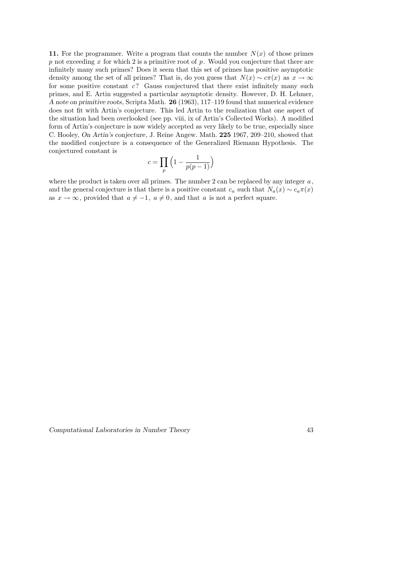11. For the programmer. Write a program that counts the number  $N(x)$  of those primes p not exceeding x for which 2 is a primitive root of p. Would you conjecture that there are infinitely many such primes? Does it seem that this set of primes has positive asymptotic density among the set of all primes? That is, do you guess that  $N(x) \sim c\pi(x)$  as  $x \to \infty$ for some positive constant  $c$ ? Gauss conjectured that there exist infinitely many such primes, and E. Artin suggested a particular asymptotic density. However, D. H. Lehmer, A note on primitive roots, Scripta Math. 26 (1963), 117–119 found that numerical evidence does not fit with Artin's conjecture. This led Artin to the realization that one aspect of the situation had been overlooked (see pp. viii, ix of Artin's Collected Works). A modified form of Artin's conjecture is now widely accepted as very likely to be true, especially since C. Hooley, On Artin's conjecture, J. Reine Angew. Math. 225 1967, 209–210, showed that the modified conjecture is a consequence of the Generalized Riemann Hypothesis. The conjectured constant is

$$
c = \prod_{p} \left( 1 - \frac{1}{p(p-1)} \right)
$$

where the product is taken over all primes. The number  $2$  can be replaced by any integer  $a$ , and the general conjecture is that there is a positive constant  $c_a$  such that  $N_a(x) \sim c_a \pi(x)$ as  $x \to \infty$ , provided that  $a \neq -1$ ,  $a \neq 0$ , and that a is not a perfect square.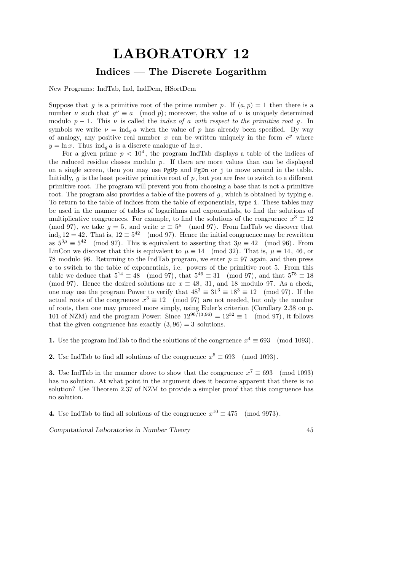# LABORATORY 12 Indices — The Discrete Logarithm

New Programs: IndTab, Ind, IndDem, HSortDem

Suppose that g is a primitive root of the prime number p. If  $(a, p) = 1$  then there is a number  $\nu$  such that  $g^{\nu} \equiv a \pmod{p}$ ; moreover, the value of  $\nu$  is uniquely determined modulo  $p-1$ . This  $\nu$  is called the *index of a with respect to the primitive root g*. In symbols we write  $\nu = \text{ind}_g a$  when the value of p has already been specified. By way of analogy, any positive real number  $x$  can be written uniquely in the form  $e^y$  where  $y = \ln x$ . Thus  $\text{ind}_q a$  is a discrete analogue of  $\ln x$ .

For a given prime  $p < 10<sup>4</sup>$ , the program IndTab displays a table of the indices of the reduced residue classes modulo  $p$ . If there are more values than can be displayed on a single screen, then you may use PgUp and PgDn or j to move around in the table. Initially,  $q$  is the least positive primitive root of  $p$ , but you are free to switch to a different primitive root. The program will prevent you from choosing a base that is not a primitive root. The program also provides a table of the powers of  $q$ , which is obtained by typing e. To return to the table of indices from the table of exponentials, type i. These tables may be used in the manner of tables of logarithms and exponentials, to find the solutions of multiplicative congruences. For example, to find the solutions of the congruence  $x^3 \equiv 12$ (mod 97), we take  $g = 5$ , and write  $x \equiv 5^{\mu} \pmod{97}$ . From IndTab we discover that ind<sub>5</sub> 12 = 42. That is,  $12 \equiv 5^{42} \pmod{97}$ . Hence the initial congruence may be rewritten as  $5^{3\mu} \equiv 5^{42} \pmod{97}$ . This is equivalent to asserting that  $3\mu \equiv 42 \pmod{96}$ . From LinCon we discover that this is equivalent to  $\mu \equiv 14 \pmod{32}$ . That is,  $\mu \equiv 14$ , 46, or 78 modulo 96. Returning to the IndTab program, we enter  $p = 97$  again, and then press e to switch to the table of exponentials, i.e. powers of the primitive root 5. From this table we deduce that  $5^{14} \equiv 48 \pmod{97}$ , that  $5^{46} \equiv 31 \pmod{97}$ , and that  $5^{78} \equiv 18$ (mod 97). Hence the desired solutions are  $x \equiv 48, 31,$  and 18 modulo 97. As a check, one may use the program Power to verify that  $48^3 \equiv 31^3 \equiv 18^3 \equiv 12 \pmod{97}$ . If the actual roots of the congruence  $x^3 \equiv 12 \pmod{97}$  are not needed, but only the number of roots, then one may proceed more simply, using Euler's criterion (Corollary 2.38 on p. 101 of NZM) and the program Power: Since  $12^{96/(3,96)} = 12^{32} \equiv 1 \pmod{97}$ , it follows that the given congruence has exactly  $(3, 96) = 3$  solutions.

1. Use the program IndTab to find the solutions of the congruence  $x^4 \equiv 693 \pmod{1093}$ .

**2.** Use IndTab to find all solutions of the congruence  $x^5 \equiv 693 \pmod{1093}$ .

**3.** Use IndTab in the manner above to show that the congruence  $x^7 \equiv 693 \pmod{1093}$ has no solution. At what point in the argument does it become apparent that there is no solution? Use Theorem 2.37 of NZM to provide a simpler proof that this congruence has no solution.

**4.** Use IndTab to find all solutions of the congruence  $x^{10} \equiv 475 \pmod{9973}$ .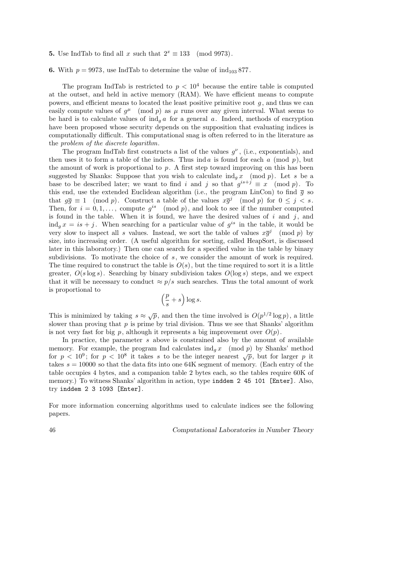- 5. Use IndTab to find all x such that  $2^x \equiv 133 \pmod{9973}$ .
- **6.** With  $p = 9973$ , use IndTab to determine the value of  $ind_{103} 877$ .

The program IndTab is restricted to  $p < 10<sup>4</sup>$  because the entire table is computed at the outset, and held in active memory (RAM). We have efficient means to compute powers, and efficient means to located the least positive primitive root  $q$ , and thus we can easily compute values of  $g^{\mu} \pmod{p}$  as  $\mu$  runs over any given interval. What seems to be hard is to calculate values of  $\text{ind}_q a$  for a general a. Indeed, methods of encryption have been proposed whose security depends on the supposition that evaluating indices is computationally difficult. This computational snag is often referred to in the literature as the problem of the discrete logarithm.

The program IndTab first constructs a list of the values  $g^{\nu}$ , (i.e., exponentials), and then uses it to form a table of the indices. Thus ind a is found for each  $a \pmod{p}$ , but the amount of work is proportional to  $p$ . A first step toward improving on this has been suggested by Shanks: Suppose that you wish to calculate  $\operatorname{ind}_q x \pmod{p}$ . Let s be a base to be described later; we want to find i and j so that  $g^{is+j} \equiv x \pmod{p}$ . To this end, use the extended Euclidean algorithm (i.e., the program LinCon) to find  $\bar{q}$  so that  $g\overline{g} \equiv 1 \pmod{p}$ . Construct a table of the values  $x\overline{g}^j \pmod{p}$  for  $0 \leq j \leq s$ . Then, for  $i = 0, 1, \ldots$ , compute  $g^{is} \pmod{p}$ , and look to see if the number computed is found in the table. When it is found, we have the desired values of  $i$  and  $j$ , and  $\text{ind}_g x = i s + j$ . When searching for a particular value of  $g^{is}$  in the table, it would be very slow to inspect all s values. Instead, we sort the table of values  $x\overline{g}^{j} \pmod{p}$  by size, into increasing order. (A useful algorithm for sorting, called HeapSort, is discussed later in this laboratory.) Then one can search for a specified value in the table by binary subdivisions. To motivate the choice of s, we consider the amount of work is required. The time required to construct the table is  $O(s)$ , but the time required to sort it is a little greater,  $O(s \log s)$ . Searching by binary subdivision takes  $O(\log s)$  steps, and we expect that it will be necessary to conduct  $\approx p/s$  such searches. Thus the total amount of work is proportional to

$$
\left(\frac{p}{s} + s\right) \log s.
$$

This is minimized by taking  $s \approx \sqrt{p}$ , and then the time involved is  $O(p^{1/2} \log p)$ , a little slower than proving that  $p$  is prime by trial division. Thus we see that Shanks' algorithm is not very fast for big p, although it represents a big improvement over  $O(p)$ .

In practice, the parameter s above is constrained also by the amount of available memory. For example, the program Ind calculates  $\text{ind}_g x \pmod{p}$  by Shanks' method memory. For example, the program ind calculates  $\log x$  (mod p) by Shanks' method<br>for  $p < 10^9$ ; for  $p < 10^8$  it takes s to be the integer nearest  $\sqrt{p}$ , but for larger p it takes  $s = 10000$  so that the data fits into one 64K segment of memory. (Each entry of the table occupies 4 bytes, and a companion table 2 bytes each, so the tables require 60K of memory.) To witness Shanks' algorithm in action, type inddem 2 45 101 [Enter]. Also, try inddem 2 3 1093 [Enter].

For more information concerning algorithms used to calculate indices see the following papers.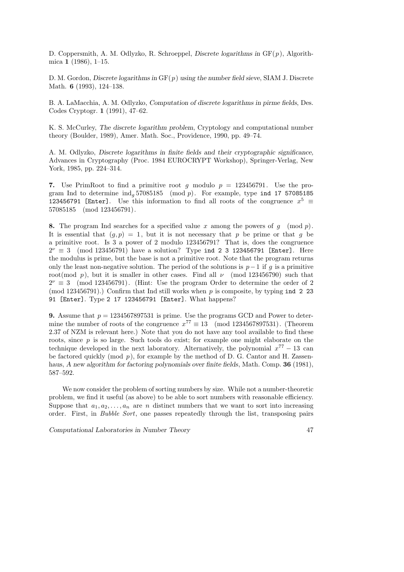D. Coppersmith, A. M. Odlyzko, R. Schroeppel, Discrete logarithms in  $GF(p)$ , Algorithmica 1 (1986), 1–15.

D. M. Gordon, *Discrete logarithms in*  $GF(p)$  using the number field sieve, SIAM J. Discrete Math. **6** (1993), 124-138.

B. A. LaMacchia, A. M. Odlyzko, Computation of discrete logarithms in pirme fields, Des. Codes Cryptogr. 1 (1991), 47–62.

K. S. McCurley, The discrete logarithm problem, Cryptology and computational number theory (Boulder, 1989), Amer. Math. Soc., Providence, 1990, pp. 49–74.

A. M. Odlyzko, Discrete logarithms in finite fields and their cryptographic significance, Advances in Cryptography (Proc. 1984 EUROCRYPT Workshop), Springer-Verlag, New York, 1985, pp. 224–314.

7. Use PrimRoot to find a primitive root g modulo  $p = 123456791$ . Use the program Ind to determine  $ind_a 57085185 \pmod{p}$ . For example, type ind 17 57085185 123456791 [Enter]. Use this information to find all roots of the congruence  $x^5 \equiv$ 57085185 (mod 123456791).

8. The program Ind searches for a specified value x among the powers of  $q \pmod{p}$ . It is essential that  $(q, p) = 1$ , but it is not necessary that p be prime or that q be a primitive root. Is 3 a power of 2 modulo 123456791? That is, does the congruence  $2^{\nu} \equiv 3 \pmod{123456791}$  have a solution? Type ind 2 3 123456791 [Enter]. Here the modulus is prime, but the base is not a primitive root. Note that the program returns only the least non-negative solution. The period of the solutions is  $p-1$  if q is a primitive root(mod p), but it is smaller in other cases. Find all  $\nu$  (mod 123456790) such that  $2^{\nu} \equiv 3 \pmod{123456791}$ . (Hint: Use the program Order to determine the order of 2 (mod 123456791).) Confirm that Ind still works when  $p$  is composite, by typing ind 2 23 91 [Enter]. Type 2 17 123456791 [Enter]. What happens?

**9.** Assume that  $p = 1234567897531$  is prime. Use the programs GCD and Power to determine the number of roots of the congruence  $x^{77} \equiv 13 \pmod{1234567897531}$ . (Theorem 2.37 of NZM is relevant here.) Note that you do not have any tool available to find these roots, since  $p$  is so large. Such tools do exist; for example one might elaborate on the technique developed in the next laboratory. Alternatively, the polynomial  $x^{77} - 13$  can be factored quickly  $(\text{mod } p)$ , for example by the method of D. G. Cantor and H. Zassenhaus, A new algorithm for factoring polynomials over finite fields, Math. Comp. **36** (1981), 587–592.

We now consider the problem of sorting numbers by size. While not a number-theoretic problem, we find it useful (as above) to be able to sort numbers with reasonable efficiency. Suppose that  $a_1, a_2, \ldots, a_n$  are n distinct numbers that we want to sort into increasing order. First, in Bubble Sort, one passes repeatedly through the list, transposing pairs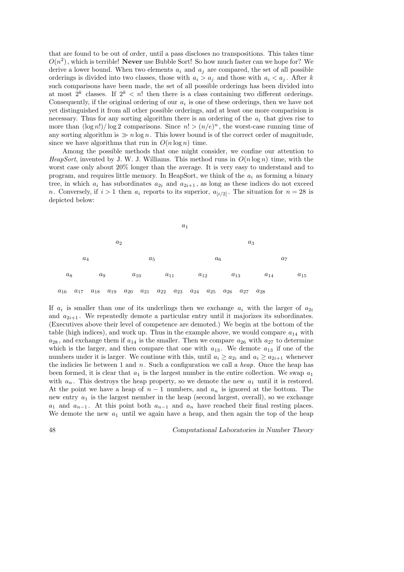that are found to be out of order, until a pass discloses no transpositions. This takes time  $O(n^2)$ , which is terrible! Never use Bubble Sort! So how much faster can we hope for? We derive a lower bound. When two elements  $a_i$  and  $a_j$  are compared, the set of all possible orderings is divided into two classes, those with  $a_i > a_j$  and those with  $a_i < a_j$ . After k such comparisons have been made, the set of all possible orderings has been divided into at most  $2^k$  classes. If  $2^k < n!$  then there is a class containing two different orderings. Consequently, if the original ordering of our  $a_i$  is one of these orderings, then we have not yet distinguished it from all other possible orderings, and at least one more comparision is necessary. Thus for any sorting algorithm there is an ordering of the  $a_i$  that gives rise to more than  $(\log n!) / \log 2$  comparisons. Since  $n! > (n/e)^n$ , the worst-case running time of any sorting algorithm is  $\gg n \log n$ . This lower bound is of the correct order of magnitude, since we have algorithms that run in  $O(n \log n)$  time.

Among the possible methods that one might consider, we confine our attention to HeapSort, invented by J. W. J. Williams. This method runs in  $O(n \log n)$  time, with the worst case only about 20% longer than the average. It is very easy to understand and to program, and requires little memory. In HeapSort, we think of the  $a_i$  as forming a binary tree, in which  $a_i$  has subordinates  $a_{2i}$  and  $a_{2i+1}$ , as long as these indices do not exceed n. Conversely, if  $i > 1$  then  $a_i$  reports to its superior,  $a_{i/2}$ . The situation for  $n = 28$  is depicted below:



If  $a_i$  is smaller than one of its underlings then we exchange  $a_i$  with the larger of  $a_{2i}$ and  $a_{2i+1}$ . We repeatedly demote a particular entry until it majorizes its subordinates. (Executives above their level of competence are demoted.) We begin at the bottom of the table (high indices), and work up. Thus in the example above, we would compare  $a_{14}$  with  $a_{28}$ , and exchange them if  $a_{14}$  is the smaller. Then we compare  $a_{26}$  with  $a_{27}$  to determine which is the larger, and then compare that one with  $a_{13}$ . We demote  $a_{13}$  if one of the numbers under it is larger. We continue with this, until  $a_i \ge a_{2i}$  and  $a_i \ge a_{2i+1}$  whenever the indicies lie between 1 and  $n$ . Such a configuration we call a *heap*. Once the heap has been formed, it is clear that  $a_1$  is the largest number in the entire collection. We swap  $a_1$ with  $a_n$ . This destroys the heap property, so we demote the new  $a_1$  until it is restored. At the point we have a heap of  $n-1$  numbers, and  $a_n$  is ignored at the bottom. The new entry  $a_1$  is the largest member in the heap (second largest, overall), so we exchange  $a_1$  and  $a_{n-1}$ . At this point both  $a_{n-1}$  and  $a_n$  have reached their final resting places. We demote the new  $a_1$  until we again have a heap, and then again the top of the heap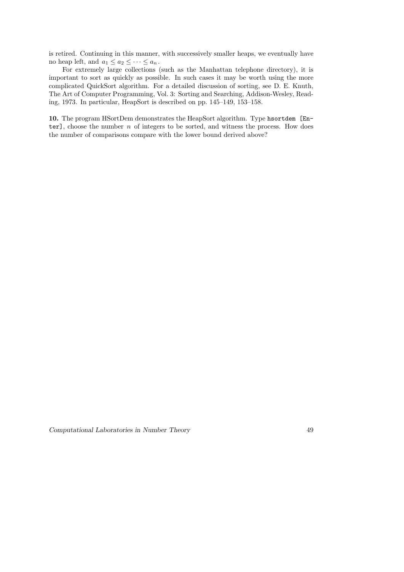is retired. Continuing in this manner, with successively smaller heaps, we eventually have no heap left, and  $a_1 \le a_2 \le \cdots \le a_n$ .

For extremely large collections (such as the Manhattan telephone directory), it is important to sort as quickly as possible. In such cases it may be worth using the more complicated QuickSort algorithm. For a detailed discussion of sorting, see D. E. Knuth, The Art of Computer Programming, Vol. 3: Sorting and Searching, Addison-Wesley, Reading, 1973. In particular, HeapSort is described on pp. 145–149, 153–158.

10. The program HSortDem demonstrates the HeapSort algorithm. Type hsortdem [Enter], choose the number  $n$  of integers to be sorted, and witness the process. How does the number of comparisons compare with the lower bound derived above?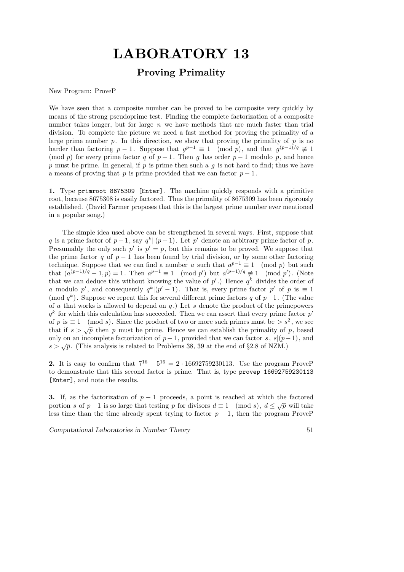# LABORATORY 13

### Proving Primality

New Program: ProveP

We have seen that a composite number can be proved to be composite very quickly by means of the strong pseudoprime test. Finding the complete factorization of a composite number takes longer, but for large  $n$  we have methods that are much faster than trial division. To complete the picture we need a fast method for proving the primality of a large prime number  $p$ . In this direction, we show that proving the primality of  $p$  is no harder than factoring  $p-1$ . Suppose that  $g^{p-1} \equiv 1 \pmod{p}$ , and that  $g^{(p-1)/q} \not\equiv 1$ (mod p) for every prime factor q of  $p-1$ . Then q has order  $p-1$  modulo p, and hence p must be prime. In general, if p is prime then such a g is not hard to find; thus we have a means of proving that p is prime provided that we can factor  $p-1$ .

1. Type primroot 8675309 [Enter]. The machine quickly responds with a primitive root, because 8675308 is easily factored. Thus the primality of 8675309 has been rigorously established. (David Farmer proposes that this is the largest prime number ever mentioned in a popular song.)

The simple idea used above can be strengthened in several ways. First, suppose that q is a prime factor of  $p-1$ , say  $q^k \|(p-1)$ . Let p' denote an arbitrary prime factor of p. Presumably the only such p' is  $p' = p$ , but this remains to be proved. We suppose that the prime factor q of  $p-1$  has been found by trial division, or by some other factoring technique. Suppose that we can find a number a such that  $a^{p-1} \equiv 1 \pmod{p}$  but such that  $(a^{(p-1)/q}-1, p) = 1$ . Then  $a^{p-1} \equiv 1 \pmod{p'}$  but  $a^{(p-1)/q} \not\equiv 1 \pmod{p'}$ . (Note that we can deduce this without knowing the value of  $p'$ .) Hence  $q^k$  divides the order of a modulo p', and consequently  $q^k|(p'-1)$ . That is, every prime factor p' of p is  $\equiv 1$ (mod  $q^k$ ). Suppose we repeat this for several different prime factors q of p-1. (The value of  $a$  that works is allowed to depend on  $q$ .) Let  $s$  denote the product of the primepowers  $q^k$  for which this calculation has succeeded. Then we can assert that every prime factor  $p'$ of p is  $\equiv 1 \pmod{s}$ . Since the product of two or more such primes must be  $\geq s^2$ , we see that if  $s > \sqrt{p}$  then p must be prime. Hence we can establish the primality of p, based only on an incomplete factorization of  $p-1$ , provided that we can factor s,  $s|(p-1)$ , and  $s > \sqrt{p}$ . (This analysis is related to Problems 38, 39 at the end of §2.8 of NZM.)

**2.** It is easy to confirm that  $7^{16} + 5^{16} = 2 \cdot 16692759230113$ . Use the program ProveP to demonstrate that this second factor is prime. That is, type provep 16692759230113 [Enter], and note the results.

3. If, as the factorization of  $p-1$  proceeds, a point is reached at which the factored **5.** II, as the factorization of  $p-1$  proceeds, a point is reached at which the factored portion s of  $p-1$  is so large that testing p for divisors  $d \equiv 1 \pmod{s}$ ,  $d \leq \sqrt{p}$  will take less time than the time already spent trying to factor  $p-1$ , then the program ProveP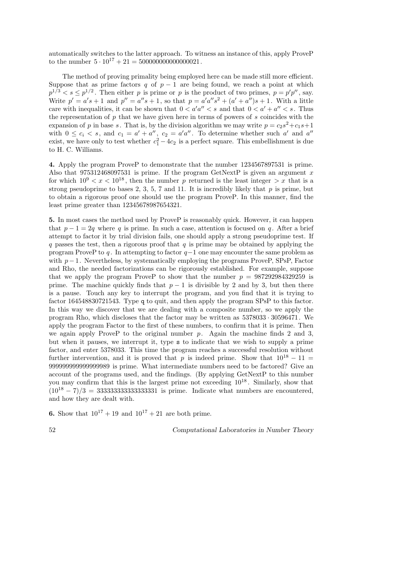automatically switches to the latter approach. To witness an instance of this, apply ProveP to the number  $5 \cdot 10^{17} + 21 = 50000000000000021$ .

The method of proving primality being employed here can be made still more efficient. Suppose that as prime factors q of  $p-1$  are being found, we reach a point at which  $p^{1/3} < s \leq p^{1/2}$ . Then either p is prime or p is the product of two primes,  $p = p'p''$ , say. Write  $p' = a's + 1$  and  $p'' = a''s + 1$ , so that  $p = a'a''s^2 + (a' + a'')s + 1$ . With a little care with inequalities, it can be shown that  $0 < a'a'' < s$  and that  $0 < a' + a'' < s$ . Thus the representation of  $p$  that we have given here in terms of powers of  $s$  coincides with the expansion of p in base s. That is, by the division algorithm we may write  $p = c_2s^2 + c_1s + 1$ with  $0 \le c_i < s$ , and  $c_1 = a' + a''$ ,  $c_2 = a'a''$ . To determine whether such a' and a'' exist, we have only to test whether  $c_1^2 - 4c_2$  is a perfect square. This embellishment is due to H. C. Williams.

4. Apply the program ProveP to demonstrate that the number 1234567897531 is prime. Also that 975312468097531 is prime. If the program GetNextP is given an argument x for which  $10^9 < x < 10^{18}$ , then the number p returned is the least integer  $> x$  that is a strong pseudoprime to bases 2, 3, 5, 7 and 11. It is incredibly likely that  $p$  is prime, but to obtain a rigorous proof one should use the program ProveP. In this manner, find the least prime greater than 12345678987654321.

5. In most cases the method used by ProveP is reasonably quick. However, it can happen that  $p-1=2q$  where q is prime. In such a case, attention is focused on q. After a brief attempt to factor it by trial division fails, one should apply a strong pseudoprime test. If q passes the test, then a rigorous proof that  $q$  is prime may be obtained by applying the program ProveP to q. In attempting to factor  $q-1$  one may encounter the same problem as with  $p-1$ . Nevertheless, by systematically employing the programs ProveP, SPsP, Factor and Rho, the needed factorizations can be rigorously established. For example, suppose that we apply the program ProveP to show that the number  $p = 987292984329259$  is prime. The machine quickly finds that  $p-1$  is divisible by 2 and by 3, but then there is a pause. Touch any key to interrupt the program, and you find that it is trying to factor 164548830721543. Type q to quit, and then apply the program SPsP to this factor. In this way we discover that we are dealing with a composite number, so we apply the program Rho, which discloses that the factor may be written as 5378033 · 30596471. We apply the program Factor to the first of these numbers, to confirm that it is prime. Then we again apply ProveP to the original number  $p$ . Again the machine finds 2 and 3, but when it pauses, we interrupt it, type s to indicate that we wish to supply a prime factor, and enter 5378033. This time the program reaches a successful resolution without further intervention, and it is proved that p is indeed prime. Show that  $10^{18} - 11 =$ 999999999999999989 is prime. What intermediate numbers need to be factored? Give an account of the programs used, and the findings. (By applying GetNextP to this number you may confirm that this is the largest prime not exceeding  $10^{18}$ . Similarly, show that (10<sup>18</sup> − 7)/3 = 333333333333333331 is prime. Indicate what numbers are encountered, and how they are dealt with.

**6.** Show that  $10^{17} + 19$  and  $10^{17} + 21$  are both prime.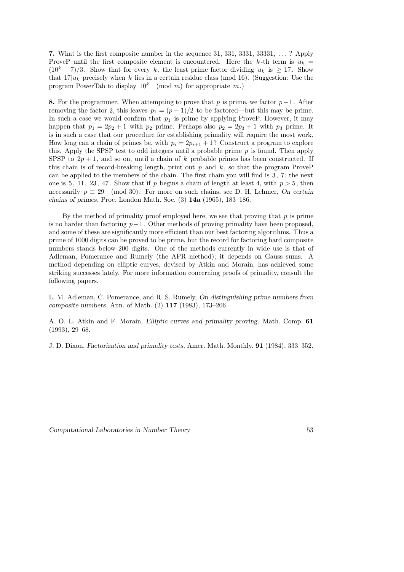7. What is the first composite number in the sequence 31, 331, 3331, 33331, . . . ? Apply ProveP until the first composite element is encountered. Here the k-th term is  $u_k =$  $(10<sup>k</sup> - 7)/3$ . Show that for every k, the least prime factor dividing  $u_k$  is  $\geq 17$ . Show that  $17|u_k$  precisely when k lies in a certain residue class (mod 16). (Suggestion: Use the program PowerTab to display  $10^k \pmod{m}$  for appropriate m.

8. For the programmer. When attempting to prove that p is prime, we factor  $p-1$ . After removing the factor 2, this leaves  $p_1 = (p-1)/2$  to be factored—but this may be prime. In such a case we would confirm that  $p_1$  is prime by applying ProveP. However, it may happen that  $p_1 = 2p_2 + 1$  with  $p_2$  prime. Perhaps also  $p_2 = 2p_3 + 1$  with  $p_3$  prime. It is in such a case that our procedure for establishing primality will require the most work. How long can a chain of primes be, with  $p_i = 2p_{i+1} + 1$ ? Construct a program to explore this. Apply the SPSP test to odd integers until a probable prime  $p$  is found. Then apply SPSP to  $2p + 1$ , and so on, until a chain of k probable primes has been constructed. If this chain is of record-breaking length, print out  $p$  and  $k$ , so that the program ProveP can be applied to the members of the chain. The first chain you will find is 3, 7; the next one is 5, 11, 23, 47. Show that if p begins a chain of length at least 4, with  $p > 5$ , then necessarily  $p \equiv 29 \pmod{30}$ . For more on such chains, see D. H. Lehmer, On certain chains of primes, Proc. London Math. Soc. (3) 14a (1965), 183–186.

By the method of primality proof employed here, we see that proving that  $p$  is prime is no harder than factoring  $p-1$ . Other methods of proving primality have been proposed, and some of these are significantly more efficient than our best factoring algorithms. Thus a prime of 1000 digits can be proved to be prime, but the record for factoring hard composite numbers stands below 200 digits. One of the methods currently in wide use is that of Adleman, Pomerance and Rumely (the APR method); it depends on Gauss sums. A method depending on elliptic curves, devised by Atkin and Morain, has achieved some striking successes lately. For more information concerning proofs of primality, consult the following papers.

L. M. Adleman, C. Pomerance, and R. S. Rumely, On distinguishing prime numbers from composite numbers, Ann. of Math. (2) 117 (1983), 173–206.

A. O. L. Atkin and F. Morain, Elliptic curves and primality proving, Math. Comp. 61 (1993), 29–68.

J. D. Dixon, Factorization and primality tests, Amer. Math. Monthly. 91 (1984), 333–352.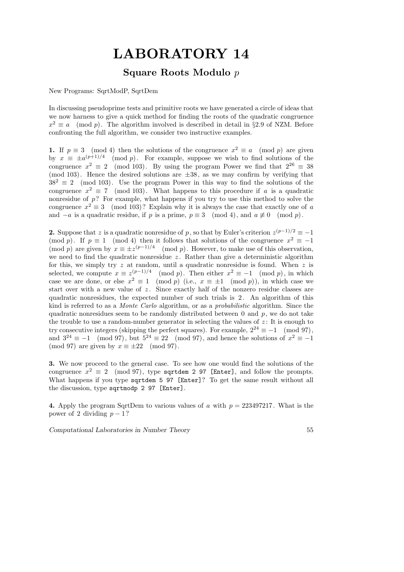# LABORATORY 14

### Square Roots Modulo p

New Programs: SqrtModP, SqrtDem

In discussing pseudoprime tests and primitive roots we have generated a circle of ideas that we now harness to give a quick method for finding the roots of the quadratic congruence  $x^2 \equiv a \pmod{p}$ . The algorithm involved is described in detail in §2.9 of NZM. Before confronting the full algorithm, we consider two instructive examples.

1. If  $p \equiv 3 \pmod{4}$  then the solutions of the congruence  $x^2 \equiv a \pmod{p}$  are given by  $x \equiv \pm a^{(p+1)/4} \pmod{p}$ . For example, suppose we wish to find solutions of the congruence  $x^2 \equiv 2 \pmod{103}$ . By using the program Power we find that  $2^{26} \equiv 38$ (mod 103). Hence the desired solutions are  $\pm 38$ , as we may confirm by verifying that  $38^2 \equiv 2 \pmod{103}$ . Use the program Power in this way to find the solutions of the congruence  $x^2 \equiv 7 \pmod{103}$ . What happens to this procedure if a is a quadratic nonresidue of  $p$ ? For example, what happens if you try to use this method to solve the congruence  $x^2 \equiv 3 \pmod{103}$ ? Explain why it is always the case that exactly one of a and  $-a$  is a quadratic residue, if p is a prime,  $p \equiv 3 \pmod{4}$ , and  $a \not\equiv 0 \pmod{p}$ .

**2.** Suppose that z is a quadratic nonresidue of p, so that by Euler's criterion  $z^{(p-1)/2} \equiv -1$ (mod p). If  $p \equiv 1 \pmod{4}$  then it follows that solutions of the congruence  $x^2 \equiv -1$ (mod p) are given by  $x \equiv \pm z^{(p-1)/4} \pmod{p}$ . However, to make use of this observation, we need to find the quadratic nonresidue  $z$ . Rather than give a deterministic algorithm for this, we simply try  $z$  at random, until a quadratic nonresidue is found. When  $z$  is selected, we compute  $x \equiv z^{(p-1)/4} \pmod{p}$ . Then either  $x^2 \equiv -1 \pmod{p}$ , in which case we are done, or else  $x^2 \equiv 1 \pmod{p}$  (i.e.,  $x \equiv \pm 1 \pmod{p}$ ), in which case we start over with a new value of  $z$ . Since exactly half of the nonzero residue classes are quadratic nonresidues, the expected number of such trials is 2. An algorithm of this kind is referred to as a Monte Carlo algorithm, or as a probabilistic algorithm. Since the quadratic nonresidues seem to be randomly distributed between  $0$  and  $p$ , we do not take the trouble to use a random-number generator in selecting the values of  $z$ . It is enough to try consecutive integers (skipping the perfect squares). For example,  $2^{24} \equiv -1 \pmod{97}$ , and  $3^{24} \equiv -1 \pmod{97}$ , but  $5^{24} \equiv 22 \pmod{97}$ , and hence the solutions of  $x^2 \equiv -1$ (mod 97) are given by  $x \equiv \pm 22 \pmod{97}$ .

3. We now proceed to the general case. To see how one would find the solutions of the congruence  $x^2 \equiv 2 \pmod{97}$ , type sqrtdem 2 97 [Enter], and follow the prompts. What happens if you type sqrtdem 5 97 [Enter]? To get the same result without all the discussion, type sqrtmodp 2 97 [Enter].

4. Apply the program SqrtDem to various values of a with  $p = 223497217$ . What is the power of 2 dividing  $p-1$ ?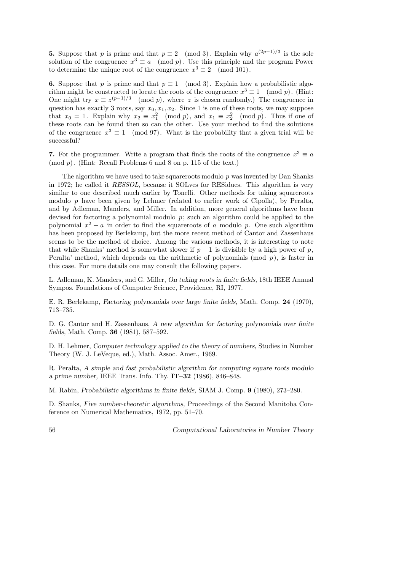**5.** Suppose that p is prime and that  $p \equiv 2 \pmod{3}$ . Explain why  $a^{(2p-1)/3}$  is the sole solution of the congruence  $x^3 \equiv a \pmod{p}$ . Use this principle and the program Power to determine the unique root of the congruence  $x^3 \equiv 2 \pmod{101}$ .

**6.** Suppose that p is prime and that  $p \equiv 1 \pmod{3}$ . Explain how a probabilistic algorithm might be constructed to locate the roots of the congruence  $x^3 \equiv 1 \pmod{p}$ . (Hint: One might try  $x \equiv z^{(p-1)/3} \pmod{p}$ , where z is chosen randomly.) The congruence in question has exactly 3 roots, say  $x_0, x_1, x_2$ . Since 1 is one of these roots, we may suppose that  $x_0 = 1$ . Explain why  $x_2 \equiv x_1^2 \pmod{p}$ , and  $x_1 \equiv x_2^2 \pmod{p}$ . Thus if one of these roots can be found then so can the other. Use your method to find the solutions of the congruence  $x^3 \equiv 1 \pmod{97}$ . What is the probability that a given trial will be successful?

7. For the programmer. Write a program that finds the roots of the congruence  $x^3 \equiv a$  $\pmod{p}$ . (Hint: Recall Problems 6 and 8 on p. 115 of the text.)

The algorithm we have used to take squareroots modulo  $p$  was invented by Dan Shanks in 1972; he called it RESSOL, because it SOLves for RESidues. This algorithm is very similar to one described much earlier by Tonelli. Other methods for taking squareroots modulo p have been given by Lehmer (related to earlier work of Cipolla), by Peralta, and by Adleman, Manders, and Miller. In addition, more general algorithms have been devised for factoring a polynomial modulo  $p$ ; such an algorithm could be applied to the polynomial  $x^2 - a$  in order to find the squareroots of a modulo p. One such algorithm has been proposed by Berlekamp, but the more recent method of Cantor and Zassenhaus seems to be the method of choice. Among the various methods, it is interesting to note that while Shanks' method is somewhat slower if  $p-1$  is divisible by a high power of p, Peralta' method, which depends on the arithmetic of polynomials (mod  $p$ ), is faster in this case. For more details one may consult the following papers.

L. Adleman, K. Manders, and G. Miller, On taking roots in finite fields, 18th IEEE Annual Sympos. Foundations of Computer Science, Providence, RI, 1977.

E. R. Berlekamp, Factoring polynomials over large finite fields, Math. Comp. 24 (1970), 713–735.

D. G. Cantor and H. Zassenhaus, A new algorithm for factoring polynomials over finite fields, Math. Comp. 36 (1981), 587–592.

D. H. Lehmer, Computer technology applied to the theory of numbers, Studies in Number Theory (W. J. LeVeque, ed.), Math. Assoc. Amer., 1969.

R. Peralta, A simple and fast probabilistic algorithm for computing square roots modulo a prime number, IEEE Trans. Info. Thy. IT–32 (1986), 846–848.

M. Rabin, Probabilistic algorithms in finite fields, SIAM J. Comp. 9 (1980), 273–280.

D. Shanks, Five number-theoretic algorithms, Proceedings of the Second Manitoba Conference on Numerical Mathematics, 1972, pp. 51–70.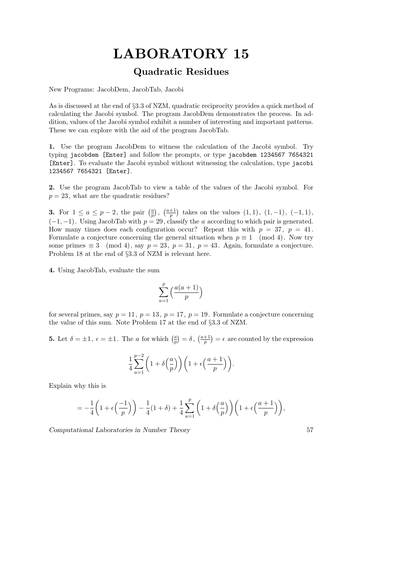### LABORATORY 15

### Quadratic Residues

New Programs: JacobDem, JacobTab, Jacobi

As is discussed at the end of §3.3 of NZM, quadratic reciprocity provides a quick method of calculating the Jacobi symbol. The program JacobDem demonstrates the process. In addition, values of the Jacobi symbol exhibit a number of interesting and important patterns. These we can explore with the aid of the program JacobTab.

1. Use the program JacobDem to witness the calculation of the Jacobi symbol. Try typing jacobdem [Enter] and follow the prompts, or type jacobdem 1234567 7654321 [Enter]. To evaluate the Jacobi symbol without witnessing the calculation, type jacobi 1234567 7654321 [Enter].

2. Use the program JacobTab to view a table of the values of the Jacobi symbol. For  $p = 23$ , what are the quadratic residues?

**3.** For  $1 \leq a \leq p-2$ , the pair  $\left(\frac{a}{n}\right)$  $\frac{a}{p}$ ,  $\left(\frac{a+1}{p}\right)$  $\frac{+1}{p}$  takes on the values  $(1, 1), (1, -1), (-1, 1),$  $(-1, -1)$ . Using JacobTab with  $p = 29$ , classify the a according to which pair is generated. How many times does each configuration occur? Repeat this with  $p = 37$ ,  $p = 41$ . Formulate a conjecture concerning the general situation when  $p \equiv 1 \pmod{4}$ . Now try some primes  $\equiv 3 \pmod{4}$ , say  $p = 23$ ,  $p = 31$ ,  $p = 43$ . Again, formulate a conjecture. Problem 18 at the end of §3.3 of NZM is relevant here.

4. Using JacobTab, evaluate the sum

$$
\sum_{a=1}^p\Big(\frac{a(a+1)}{p}\Big)
$$

for several primes, say  $p = 11$ ,  $p = 13$ ,  $p = 17$ ,  $p = 19$ . Formulate a conjecture concerning the value of this sum. Note Problem 17 at the end of §3.3 of NZM.

**5.** Let  $\delta = \pm 1$ ,  $\epsilon = \pm 1$ . The a for which  $\left(\frac{a}{n}\right)$  $\left(\frac{a}{p}\right) = \delta, \ \left(\frac{a+1}{p}\right)$  $(\frac{+1}{p}) = \epsilon$  are counted by the expression

$$
\frac{1}{4} \sum_{a=1}^{p-2} \bigg(1 + \delta\Big(\frac{a}{p}\Big)\bigg)\bigg(1 + \epsilon\Big(\frac{a+1}{p}\Big)\bigg).
$$

Explain why this is

$$
= -\frac{1}{4}\bigg(1+\epsilon\Big(\frac{-1}{p}\Big)\bigg)-\frac{1}{4}(1+\delta)+\frac{1}{4}\sum_{a=1}^{p}\bigg(1+\delta\Big(\frac{a}{p}\Big)\bigg)\bigg(1+\epsilon\Big(\frac{a+1}{p}\Big)\bigg),
$$

| ۰,<br>۹      | I<br>× |
|--------------|--------|
|              |        |
| I<br>I<br>۰, |        |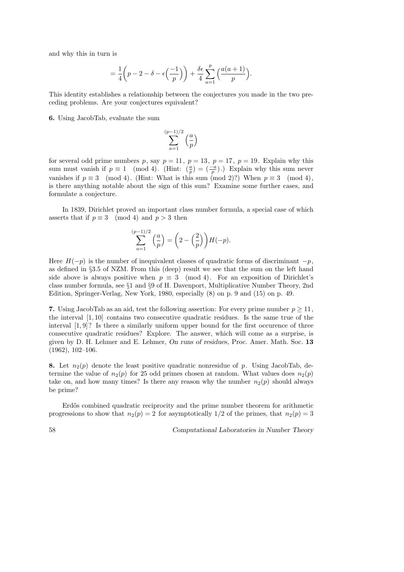and why this in turn is

$$
= \frac{1}{4}\left(p-2-\delta-\epsilon\left(\frac{-1}{p}\right)\right)+\frac{\delta\epsilon}{4}\sum_{a=1}^p\left(\frac{a(a+1)}{p}\right).
$$

This identity establishes a relationship between the conjectures you made in the two preceding problems. Are your conjectures equivalent?

6. Using JacobTab, evaluate the sum

$$
\sum_{a=1}^{(p-1)/2} \left(\frac{a}{p}\right)
$$

for several odd prime numbers p, say  $p = 11$ ,  $p = 13$ ,  $p = 17$ ,  $p = 19$ . Explain why this sum must vanish if  $p \equiv 1 \pmod{4}$ . (Hint:  $\left(\frac{a}{p}\right) = \left(\frac{-a}{p}\right)$ .) Explain why this sum never vanishes if  $p \equiv 3 \pmod{4}$ . (Hint: What is this sum (mod 2)?) When  $p \equiv 3 \pmod{4}$ , is there anything notable about the sign of this sum? Examine some further cases, and formulate a conjecture.

In 1839, Dirichlet proved an important class number formula, a special case of which asserts that if  $p \equiv 3 \pmod{4}$  and  $p > 3$  then

$$
\sum_{a=1}^{(p-1)/2} \left(\frac{a}{p}\right) = \left(2 - \left(\frac{2}{p}\right)\right) H(-p).
$$

Here  $H(-p)$  is the number of inequivalent classes of quadratic forms of discriminant  $-p$ , as defined in §3.5 of NZM. From this (deep) result we see that the sum on the left hand side above is always positive when  $p \equiv 3 \pmod{4}$ . For an exposition of Dirichlet's class number formula, see §1 and §9 of H. Davenport, Multiplicative Number Theory, 2nd Edition, Springer-Verlag, New York, 1980, especially (8) on p. 9 and (15) on p. 49.

7. Using JacobTab as an aid, test the following assertion: For every prime number  $p \geq 11$ , the interval [1, 10] contains two consecutive quadratic residues. Is the same true of the interval [1, 9]? Is there a similarly uniform upper bound for the first occurence of three consecutive quadratic residues? Explore. The answer, which will come as a surprise, is given by D. H. Lehmer and E. Lehmer, On runs of residues, Proc. Amer. Math. Soc. 13 (1962), 102–106.

8. Let  $n_2(p)$  denote the least positive quadratic nonresidue of p. Using JacobTab, determine the value of  $n_2(p)$  for 25 odd primes chosen at random. What values does  $n_2(p)$ take on, and how many times? Is there any reason why the number  $n_2(p)$  should always be prime?

Erdős combined quadratic reciprocity and the prime number theorem for arithmetic progressions to show that  $n_2(p) = 2$  for asymptotically 1/2 of the primes, that  $n_2(p) = 3$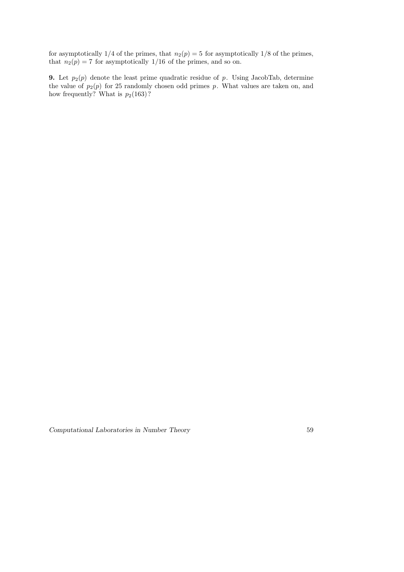for asymptotically  $1/4$  of the primes, that  $n_2(p) = 5$  for asymptotically  $1/8$  of the primes, that  $n_2(p) = 7$  for asymptotically 1/16 of the primes, and so on.

**9.** Let  $p_2(p)$  denote the least prime quadratic residue of p. Using JacobTab, determine the value of  $p_2(p)$  for 25 randomly chosen odd primes p. What values are taken on, and how frequently? What is  $p_2(163)$ ?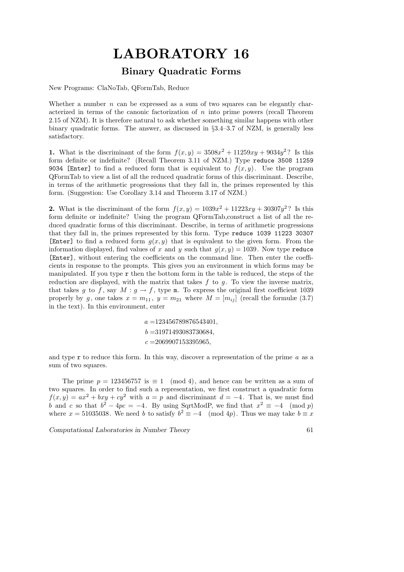# LABORATORY 16

### Binary Quadratic Forms

New Programs: ClaNoTab, QFormTab, Reduce

Whether a number  $n$  can be expressed as a sum of two squares can be elegantly characterized in terms of the canonic factorization of  $n$  into prime powers (recall Theorem 2.15 of NZM). It is therefore natural to ask whether something similar happens with other binary quadratic forms. The answer, as discussed in §3.4–3.7 of NZM, is generally less satisfactory.

1. What is the discriminant of the form  $f(x,y) = 3508x^2 + 11259xy + 9034y^2$ ? Is this form definite or indefinite? (Recall Theorem 3.11 of NZM.) Type reduce 3508 11259 9034 [Enter] to find a reduced form that is equivalent to  $f(x, y)$ . Use the program QFormTab to view a list of all the reduced quadratic forms of this discriminant. Describe, in terms of the arithmetic progressions that they fall in, the primes represented by this form. (Suggestion: Use Corollary 3.14 and Theorem 3.17 of NZM.)

**2.** What is the discriminant of the form  $f(x,y) = 1039x^2 + 11223xy + 30307y^2$ ? Is this form definite or indefinite? Using the program QFormTab,construct a list of all the reduced quadratic forms of this discriminant. Describe, in terms of arithmetic progressions that they fall in, the primes represented by this form. Type reduce 1039 11223 30307 [Enter] to find a reduced form  $g(x, y)$  that is equivalent to the given form. From the information displayed, find values of x and y such that  $q(x, y) = 1039$ . Now type reduce [Enter], without entering the coefficients on the command line. Then enter the coefficients in response to the prompts. This gives you an environment in which forms may be manipulated. If you type  $\mathbf r$  then the bottom form in the table is reduced, the steps of the reduction are displayed, with the matrix that takes  $f$  to  $g$ . To view the inverse matrix, that takes g to f, say  $M : g \to f$ , type m. To express the original first coefficient 1039 properly by g, one takes  $x = m_{11}$ ,  $y = m_{21}$  where  $M = [m_{ij}]$  (recall the formulae (3.7) in the text). In this environment, enter

> $a = 123456789876543401,$  $b = 31971493083730684$  $c = 2069907153395965,$

and type  $r$  to reduce this form. In this way, discover a representation of the prime  $a$  as a sum of two squares.

The prime  $p = 123456757$  is  $\equiv 1 \pmod{4}$ , and hence can be written as a sum of two squares. In order to find such a representation, we first construct a quadratic form  $f(x, y) = ax^2 + bxy + cy^2$  with  $a = p$  and discriminant  $d = -4$ . That is, we must find b and c so that  $b^2 - 4pc = -4$ . By using SqrtModP, we find that  $x^2 \equiv -4 \pmod{p}$ where  $x = 51035038$ . We need b to satisfy  $b^2 \equiv -4 \pmod{4p}$ . Thus we may take  $b \equiv x$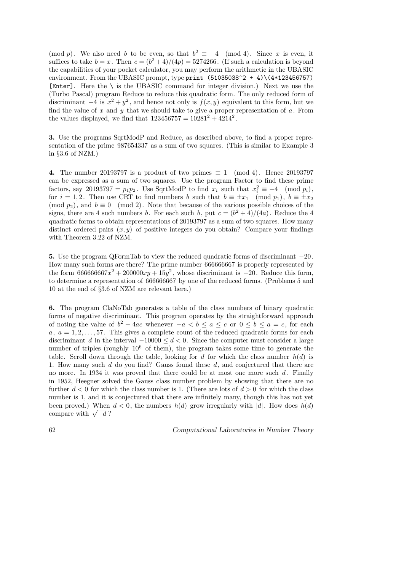(mod p). We also need b to be even, so that  $b^2 \equiv -4 \pmod{4}$ . Since x is even, it suffices to take  $b = x$ . Then  $c = (b^2 + 4)/(4p) = 5274266$ . (If such a calculation is beyond the capabilities of your pocket calculator, you may perform the arithmetic in the UBASIC environment. From the UBASIC prompt, type print  $(51035038^2 + 4)\(4*123456757)$ [Enter]. Here the  $\setminus$  is the UBASIC command for integer division.) Next we use the (Turbo Pascal) program Reduce to reduce this quadratic form. The only reduced form of discriminant  $-4$  is  $x^2 + y^2$ , and hence not only is  $f(x, y)$  equivalent to this form, but we find the value of x and y that we should take to give a proper representation of  $a$ . From the values displayed, we find that  $123456757 = 10281^2 + 4214^2$ .

3. Use the programs SqrtModP and Reduce, as described above, to find a proper representation of the prime 987654337 as a sum of two squares. (This is similar to Example 3 in §3.6 of NZM.)

4. The number 20193797 is a product of two primes  $\equiv 1 \pmod{4}$ . Hence 20193797 can be expressed as a sum of two squares. Use the program Factor to find these prime factors, say 20193797 =  $p_1p_2$ . Use SqrtModP to find  $x_i$  such that  $x_i^2 \equiv -4 \pmod{p_i}$ , for  $i = 1, 2$ . Then use CRT to find numbers b such that  $b \equiv \pm x_1 \pmod{p_1}$ ,  $b \equiv \pm x_2$ (mod  $p_2$ ), and  $b \equiv 0 \pmod{2}$ . Note that because of the various possible choices of the signs, there are 4 such numbers b. For each such b, put  $c = (b^2 + 4)/(4a)$ . Reduce the 4 quadratic forms to obtain representations of 20193797 as a sum of two squares. How many distinct ordered pairs  $(x, y)$  of positive integers do you obtain? Compare your findings with Theorem 3.22 of NZM.

5. Use the program QFormTab to view the reduced quadratic forms of discriminant −20. How many such forms are there? The prime number 666666667 is properly represented by the form  $66666667x^2 + 200000xy + 15y^2$ , whose discriminant is  $-20$ . Reduce this form, to determine a representation of 666666667 by one of the reduced forms. (Problems 5 and 10 at the end of §3.6 of NZM are relevant here.)

6. The program ClaNoTab generates a table of the class numbers of binary quadratic forms of negative discriminant. This program operates by the straightforward approach of noting the value of  $b^2 - 4ac$  whenever  $-a < b \le a \le c$  or  $0 \le b \le a = c$ , for each  $a, a = 1, 2, \ldots, 57$ . This gives a complete count of the reduced quadratic forms for each discriminant d in the interval  $-10000 \leq d < 0$ . Since the computer must consider a large number of triples (roughly  $10^6$  of them), the program takes some time to generate the table. Scroll down through the table, looking for d for which the class number  $h(d)$  is 1. How many such  $d$  do you find? Gauss found these  $d$ , and conjectured that there are no more. In 1934 it was proved that there could be at most one more such  $d$ . Finally in 1952, Heegner solved the Gauss class number problem by showing that there are no further  $d < 0$  for which the class number is 1. (There are lots of  $d > 0$  for which the class number is 1, and it is conjectured that there are infinitely many, though this has not yet been proved.) When  $d < 0$ , the numbers  $h(d)$  grow irregularly with  $|d|$ . How does  $h(d)$ been proved.) When<br>compare with  $\sqrt{-d}$ ?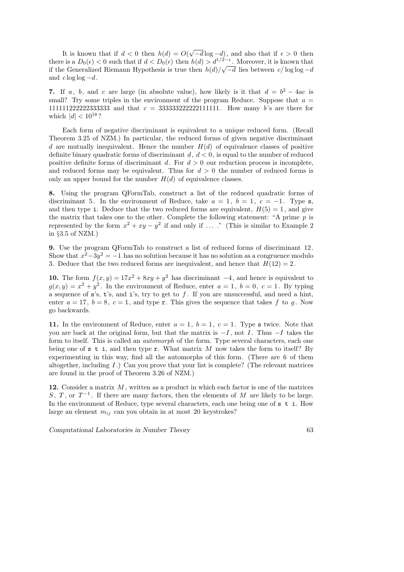It is known that if  $d < 0$  then  $h(d) = O(d)$ √  $\overline{-d}\log -d$ , and also that if  $\epsilon > 0$  then there is a  $D_0(\epsilon) < 0$  such that if  $d < D_0(\epsilon)$  then  $h(d) > d^{1/2-\epsilon}$ . Moreover, it is known that if the Generalized Riemann Hypothesis is true then  $h(d)/\sqrt{-d}$  lies between  $c/\log \log -d$ and  $c \log \log -d$ .

7. If a, b, and c are large (in absolute value), how likely is it that  $d = b^2 - 4ac$  is small? Try some triples in the environment of the program Reduce. Suppose that  $a =$ 111111222222333333333333 and that  $c = 333333222222111111$ . How many b's are there for which  $|d| < 10^{18}$ ?

Each form of negative discriminant is equivalent to a unique reduced form. (Recall Theorem 3.25 of NZM.) In particular, the reduced forms of given negative discriminant d are mutually inequivalent. Hence the number  $H(d)$  of equivalence classes of positive definite binary quadratic forms of discriminant  $d, d < 0$ , is equal to the number of reduced positive definite forms of discriminant d. For  $d > 0$  our reduction process is incomplete, and reduced forms may be equivalent. Thus for  $d > 0$  the number of reduced forms is only an upper bound for the number  $H(d)$  of equivalence classes.

8. Using the program QFormTab, construct a list of the reduced quadratic forms of discriminant 5. In the environment of Reduce, take  $a = 1, b = 1, c = -1$ . Type s, and then type i. Deduce that the two reduced forms are equivalent,  $H(5) = 1$ , and give the matrix that takes one to the other. Complete the following statement: "A prime  $p$  is represented by the form  $x^2 + xy - y^2$  if and only if ... ." (This is similar to Example 2 in §3.5 of NZM.)

9. Use the program QFormTab to construct a list of reduced forms of discriminant 12. Show that  $x^2-3y^2 = -1$  has no solution because it has no solution as a congruence modulo 3. Deduce that the two reduced forms are inequivalent, and hence that  $H(12) = 2$ .

10. The form  $f(x, y) = 17x^2 + 8xy + y^2$  has discriminant  $-4$ , and hence is equivalent to  $g(x,y) = x^2 + y^2$ . In the environment of Reduce, enter  $a = 1, b = 0, c = 1$ . By typing a sequence of  $s$ 's,  $t$ 's, and i's, try to get to f. If you are unsuccessful, and need a hint, enter  $a = 17$ ,  $b = 8$ ,  $c = 1$ , and type r. This gives the sequence that takes f to g. Now go backwards.

11. In the environment of Reduce, enter  $a = 1$ ,  $b = 1$ ,  $c = 1$ . Type s twice. Note that you are back at the original form, but that the matrix is  $-I$ , not I. Thus  $-I$  takes the form to itself. This is called an automorph of the form. Type several characters, each one being one of  $s \, t \, i$ , and then type r. What matrix M now takes the form to itself? By experimenting in this way, find all the automorphs of this form. (There are 6 of them altogether, including  $I$ .) Can you prove that your list is complete? (The relevant matrices are found in the proof of Theorem 3.26 of NZM.)

12. Consider a matrix  $M$ , written as a product in which each factor is one of the matrices S, T, or  $T^{-1}$ . If there are many factors, then the elements of M are likely to be large. In the environment of Reduce, type several characters, each one being one of  $s \, t \, i$ . How large an element  $m_{ij}$  can you obtain in at most 20 keystrokes?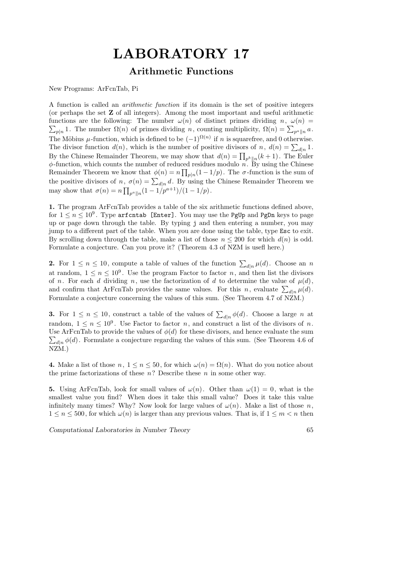# LABORATORY 17

### Arithmetic Functions

New Programs: ArFcnTab, Pi

A function is called an arithmetic function if its domain is the set of positive integers (or perhaps the set Z of all integers). Among the most important and useful arithmetic functions are the following: The number  $\omega(n)$  of distinct primes dividing  $n, \omega(n) =$  $\sum_{p|n} 1$ . The number  $\Omega(n)$  of primes dividing n, counting multiplicity,  $\Omega(n) = \sum_{p^a||n} a$ . The Möbius  $\mu$ -function, which is defined to be  $(-1)^{\Omega(n)}$  if n is squarefree, and 0 otherwise. The divisor function  $d(n)$ , which is the number of positive divisors of n,  $d(n) = \sum_{d|n} 1$ . By the Chinese Remainder Theorem, we may show that  $d(n) = \prod_{p^k ||n} (k+1)$ . The Euler  $\phi$ -function, which counts the number of reduced residues modulo n. By using the Chinese Remainder Theorem we know that  $\phi(n) = n \prod_{p|n} (1 - 1/p)$ . The  $\sigma$ -function is the sum of the positive divisors of  $n, \sigma(n) = \sum_{d|n} d$ . By using the Chinese Remainder Theorem we may show that  $\sigma(n) = n \prod_{p^a || n} (1 - 1/p^{a+1})/(1 - 1/p)$ .

1. The program ArFcnTab provides a table of the six arithmetic functions defined above, for  $1 \leq n \leq 10^9$ . Type arfcntab [Enter]. You may use the PgUp and PgDn keys to page up or page down through the table. By typing j and then entering a number, you may jump to a different part of the table. When you are done using the table, type Esc to exit. By scrolling down through the table, make a list of those  $n \leq 200$  for which  $d(n)$  is odd. Formulate a conjecture. Can you prove it? (Theorem 4.3 of NZM is usefl here.)

**2.** For  $1 \le n \le 10$ , compute a table of values of the function  $\sum_{d|n} \mu(d)$ . Choose an n at random,  $1 \leq n \leq 10^9$ . Use the program Factor to factor n, and then list the divisors of n. For each d dividing n, use the factorization of d to determine the value of  $\mu(d)$ , and confirm that ArFcnTab provides the same values. For this n, evaluate  $\sum_{d|n} \mu(d)$ . Formulate a conjecture concerning the values of this sum. (See Theorem 4.7 of NZM.)

**3.** For  $1 \leq n \leq 10$ , construct a table of the values of  $\sum_{d|n} \phi(d)$ . Choose a large n at random,  $1 \leq n \leq 10^9$ . Use Factor to factor n, and construct a list of the divisors of n.  $\sum_{d|n} \phi(d)$ . Formulate a conjecture regarding the values of this sum. (See Theorem 4.6 of Use ArFcnTab to provide the values of  $\phi(d)$  for these divisors, and hence evaluate the sum NZM.)

4. Make a list of those  $n, 1 \le n \le 50$ , for which  $\omega(n) = \Omega(n)$ . What do you notice about the prime factorizations of these  $n$ ? Describe these  $n$  in some other way.

5. Using ArFcnTab, look for small values of  $\omega(n)$ . Other than  $\omega(1) = 0$ , what is the smallest value you find? When does it take this small value? Does it take this value infinitely many times? Why? Now look for large values of  $\omega(n)$ . Make a list of those n,  $1 \leq n \leq 500$ , for which  $\omega(n)$  is larger than any previous values. That is, if  $1 \leq m < n$  then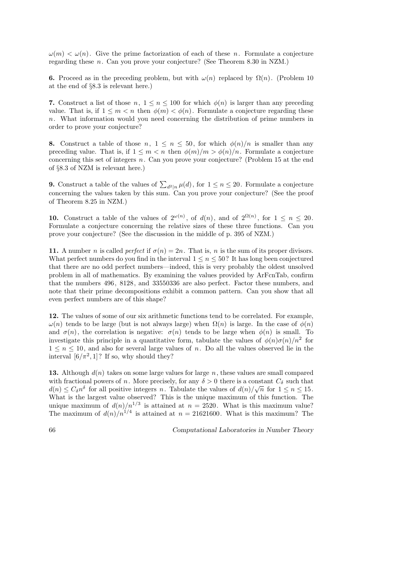$\omega(m) < \omega(n)$ . Give the prime factorization of each of these n. Formulate a conjecture regarding these n. Can you prove your conjecture? (See Theorem 8.30 in NZM.)

6. Proceed as in the preceding problem, but with  $\omega(n)$  replaced by  $\Omega(n)$ . (Problem 10) at the end of §8.3 is relevant here.)

7. Construct a list of those  $n, 1 \leq n \leq 100$  for which  $\phi(n)$  is larger than any preceding value. That is, if  $1 \leq m \leq n$  then  $\phi(m) \leq \phi(n)$ . Formulate a conjecture regarding these  $n.$  What information would you need concerning the distribution of prime numbers in order to prove your conjecture?

8. Construct a table of those  $n, 1 \leq n \leq 50$ , for which  $\phi(n)/n$  is smaller than any preceding value. That is, if  $1 \leq m < n$  then  $\phi(m)/m > \phi(n)/n$ . Formulate a conjecture concerning this set of integers  $n$ . Can you prove your conjecture? (Problem 15 at the end of §8.3 of NZM is relevant here.)

**9.** Construct a table of the values of  $\sum_{d^2|n} \mu(d)$ , for  $1 \leq n \leq 20$ . Formulate a conjecture concerning the values taken by this sum. Can you prove your conjecture? (See the proof of Theorem 8.25 in NZM.)

**10.** Construct a table of the values of  $2^{\omega(n)}$ , of  $d(n)$ , and of  $2^{\Omega(n)}$ , for  $1 \leq n \leq 20$ . Formulate a conjecture concerning the relative sizes of these three functions. Can you prove your conjecture? (See the discussion in the middle of p. 395 of NZM.)

11. A number *n* is called *perfect* if  $\sigma(n) = 2n$ . That is, *n* is the sum of its proper divisors. What perfect numbers do you find in the interval  $1 \leq n \leq 50$ ? It has long been conjectured that there are no odd perfect numbers—indeed, this is very probably the oldest unsolved problem in all of mathematics. By examining the values provided by ArFcnTab, confirm that the numbers 496, 8128, and 33550336 are also perfect. Factor these numbers, and note that their prime decompositions exhibit a common pattern. Can you show that all even perfect numbers are of this shape?

12. The values of some of our six arithmetic functions tend to be correlated. For example,  $\omega(n)$  tends to be large (but is not always large) when  $\Omega(n)$  is large. In the case of  $\phi(n)$ and  $\sigma(n)$ , the correlation is negative:  $\sigma(n)$  tends to be large when  $\phi(n)$  is small. To investigate this principle in a quantitative form, tabulate the values of  $\phi(n)\sigma(n)/n^2$  for  $1 \leq n \leq 10$ , and also for several large values of n. Do all the values observed lie in the interval  $[6/\pi^2, 1]$ ? If so, why should they?

13. Although  $d(n)$  takes on some large values for large n, these values are small compared with fractional powers of n. More precisely, for any  $\delta > 0$  there is a constant  $C_{\delta}$  such that  $d(n) \leq C_{\delta} n^{\delta}$  for all positive integers n. Tabulate the values of  $d(n)/\sqrt{n}$  for  $1 \leq n \leq 15$ . What is the largest value observed? This is the unique maximum of this function. The unique maximum of  $d(n)/n^{1/3}$  is attained at  $n = 2520$ . What is this maximum value? The maximum of  $d(n)/n^{1/4}$  is attained at  $n = 21621600$ . What is this maximum? The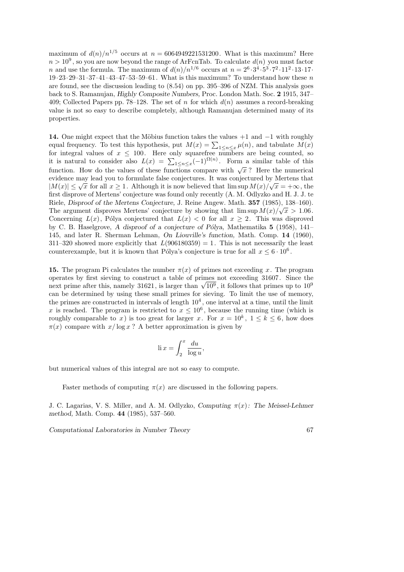maximum of  $d(n)/n^{1/5}$  occurs at  $n = 6064949221531200$ . What is this maximum? Here  $n > 10^9$ , so you are now beyond the range of ArFcnTab. To calculate  $d(n)$  you must factor n and use the formula. The maximum of  $d(n)/n^{1/6}$  occurs at  $n = 2^6 \cdot 3^4 \cdot 5^3 \cdot 7^2 \cdot 11^2 \cdot 13 \cdot 17 \cdot 13^2$  $19.23.29.31.37.41.43.47.53.59.61$ . What is this maximum? To understand how these n are found, see the discussion leading to (8.54) on pp. 395–396 of NZM. This analysis goes back to S. Ramanujan, Highly Composite Numbers, Proc. London Math. Soc. 2 1915, 347– 409; Collected Papers pp. 78–128. The set of n for which  $d(n)$  assumes a record-breaking value is not so easy to describe completely, although Ramanujan determined many of its properties.

14. One might expect that the Möbius function takes the values  $+1$  and  $-1$  with roughly equal frequency. To test this hypothesis, put  $M(x) = \sum_{1 \le n \le x} \mu(n)$ , and tabulate  $M(x)$ for integral values of  $x \leq 100$ . Here only squarefree numbers are being counted, so it is natural to consider also  $L(x) = \sum_{1 \le n \le x} (-1)^{\Omega(n)}$ . Form a similar table of this It is natural to consider also  $L(x) = \sum_{1 \leq n \leq x} (-1)^{n}$ . Form a similar table of this function. How do the values of these functions compare with  $\sqrt{x}$ ? Here the numerical evidence may lead you to formulate false conjectures. It was conjectured by Mertens that evidence may lead you to formulate false conjectures. It was conjectured by Mertens that  $|M(x)| \leq \sqrt{x}$  for all  $x \geq 1$ . Although it is now believed that  $\limsup M(x)/\sqrt{x} = +\infty$ , the first disprove of Mertens' conjecture was found only recently (A. M. Odlyzko and H. J. J. te Riele, Disproof of the Mertens Conjecture, J. Reine Angew. Math. **357** (1985), 138–160). The argument disproves Mertens' conjecture by showing that  $\limsup M(x)/\sqrt{x} > 1.06$ . Concerning  $L(x)$ , Pólya conjectured that  $L(x) < 0$  for all  $x > 2$ . This was disproved by C. B. Haselgrove, A disproof of a conjecture of Pólya, Mathematika  $5$  (1958), 141– 145, and later R. Sherman Lehman, On Liouville's function, Math. Comp. 14 (1960), 311–320 showed more explicitly that  $L(906180359) = 1$ . This is not necessarily the least counterexample, but it is known that Pólya's conjecture is true for all  $x \leq 6 \cdot 10^6$ .

**15.** The program Pi calculates the number  $\pi(x)$  of primes not exceeding x. The program operates by first sieving to construct a table of primes not exceeding 31607. Since the operates by first sieving to construct a table of primes not exceeding 31607. Since the next prime after this, namely 31621, is larger than  $\sqrt{10^9}$ , it follows that primes up to  $10^9$ can be determined by using these small primes for sieving. To limit the use of memory, the primes are constructed in intervals of length  $10<sup>4</sup>$ , one interval at a time, until the limit x is reached. The program is restricted to  $x \leq 10^6$ , because the running time (which is roughly comparable to x) is too great for larger x. For  $x = 10^k$ ,  $1 \leq k \leq 6$ , how does  $\pi(x)$  compare with  $x/\log x$ ? A better approximation is given by

$$
\ln x = \int_2^x \frac{du}{\log u},
$$

but numerical values of this integral are not so easy to compute.

Faster methods of computing  $\pi(x)$  are discussed in the following papers.

J. C. Lagarias, V. S. Miller, and A. M. Odlyzko, Computing  $\pi(x)$ : The Meissel-Lehmer method, Math. Comp. 44 (1985), 537–560.